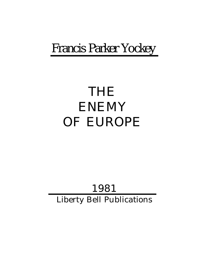## Francis Parker Yockey

# THE ENEMY OF EUROPE

## 1981 Liberty Bell Publications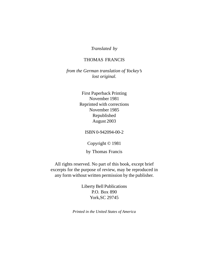#### *Translated by*

#### THOMAS FRANCIS

*from the German translation of Yockey's lost original.*

> First Paperback Printing November 1981 Reprinted with corrections November 1985 Republished August 2003

> > ISBN 0-942094-00-2

Copyright © 1981

by Thomas Francis

All rights reserved. No part of this book, except brief excerpts for the purpose of review, may be reproduced in any form without written permission by the publisher.

> Liberty Bell Publications P.O. Box 890 York,SC 29745

*Printed in the United States of America*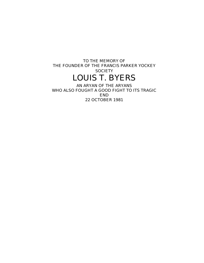#### TO THE MEMORY OF THE FOUNDER OF THE FRANCIS PARKER YOCKEY **SOCIETY** LOUIS T. BYERS AN ARYAN OF THE ARYANS

WHO ALSO FOUGHT A GOOD FIGHT TO ITS TRAGIC END 22 OCTOBER 1981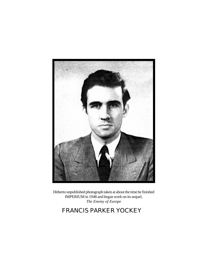

Hitherto unpublished photograph taken at about the time he finished IMPERIUM in 1948 and began work on its sequel, *The Enemy of Europe*

### FRANCIS PARKER YOCKEY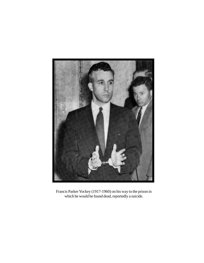

Francis Parker Yockey (1917-1960) on his way to the prison in which he would be found dead, reportedly a suicide.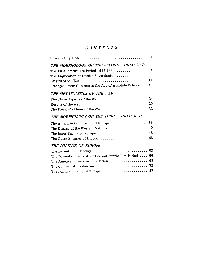#### $C$  O N T E N T S

| THE MORPHOLOGY OF THE SECOND WORLD WAR                     |    |
|------------------------------------------------------------|----|
|                                                            |    |
|                                                            |    |
|                                                            |    |
| Stronger Power-Currents in the Age of Absolute Politics 17 |    |
| THE METAPOLITICS OF THE WAR                                |    |
| The Three Aspects of the War  24                           |    |
|                                                            |    |
|                                                            |    |
| THE MORPHOLOGY OF THE THIRD WORLD WAR                      |    |
| The American Occupation of Furano                          | 36 |

| The American Occupation of Europe $\ldots \ldots \ldots \ldots \ldots$ |  |
|------------------------------------------------------------------------|--|
| The Demise of the Western Nations  40                                  |  |
| The Inner Enemy of Europe  48                                          |  |
|                                                                        |  |

#### THE POLITICS OF EUROPE

| The Power-Problems of the Second Interbellum-Period  66 |  |
|---------------------------------------------------------|--|
|                                                         |  |
|                                                         |  |
|                                                         |  |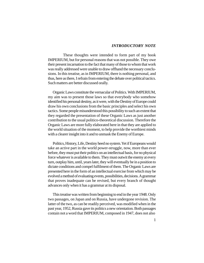#### *INTRODUCTORY NOTE*

These thoughts were intended to form part of my book IMPERIUM, but for personal reasons that was not possible. They owe their present incarnation to the fact that many of those to whom that work was really addressed were unable to draw offhand the necessary conclusions. In this treatise, as in IMPERIUM, there is nothing personal, and thus, here as there, I refrain from entering the debate over political tactics. Such matters are better discussed orally.

Organic Laws constitute the vernacular of Politics. With IMPERIUM, my aim was to present those laws so that everybody who somehow identified his personal destiny, as it were, with the Destiny of Europe could draw his own conclusions from the basic principles and select his own tactics. Some people misunderstood this possibility to such an extent that they regarded the presentation of these Organic Laws as just another contribution to the usual politico-theoretical discussion. Therefore the Organic Laws are more fully elaborated here in that they are applied to the world situation of the moment, to help provide the worthiest minds with a clearer insight into it and to unmask the Enemy of Europe.

Politics, History, Life, Destiny heed no system. Yet if Europeans would take an active part in the world power-struggle, now, more than ever before, they must put their politics on an intellectual basis, for no physical force whatever is available to them. They must outwit the enemy at every turn, outplay him, until, years later, they will eventually be in a position to dictate conditions and compel fulfilment of them. The Organic Laws are presented here in the form of an intellectual exercise from which may be evolved a method of evaluating events, possibilities, decisions. A grammar that proves inadequate can be revised, but every branch of thought advances only when it has a grammar at its disposal.

This treatise was written from beginning to end in the year 1948. Only two passages, on Japan and on Russia, have undergone revision. The latter of the two, as can be readily perceived, was modified when in the past year, 1952, Russia gave its politics a new orientation. Both passages contain not a word that IMPERIUM, composed in 1947, does not also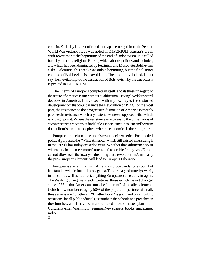contain. Each day it is reconfirmed that Japan emerged from the Second World War victorious, as was noted in IMPERIUM. Russia's break with Jewry marks the beginning of the end of Bolshevism. It is called forth by the true, religious Russia, which abhors politics and technics, and which has been dominated by Petrinism and Moscovite Bolshevism alike. Of course, this break was only a beginning, but the final, inner collapse of Bolshevism is unavoidable. The possibility-indeed, I must say, the inevitability-of the destruction of Bolshevism by the true Russia is posited in IMPERIUM.

The Enemy of Europe is complete in itself, and its thesis in regard to the nature of America is true without qualification. Having lived for several decades in America, I have seen with my own eyes the distorted development of that country since the Revolution of 1933. For the most part, the resistance to the progressive distortion of America is merely passive-the resistance which any material whatever opposes to that which is acting upon it. Where the resistance is active-and the dimensions of such resistance are scanty-it finds little support, since idealism and heroism do not flourish in an atmosphere wherein economics is the ruling spirit.

Europe can attach no hopes to this resistance in America. For practical political purposes, the "White America" which still existed in its strength in the 1920's has today ceased to exist. Whether that submerged spirit will rise again in some remote future is unforeseeable. In any case, Europe cannot allow itself the luxury of dreaming that a revolution in America by the pro-European elements will lead to Europe's Liberation.

Europeans are familiar with America's propaganda for export, but less familiar with its internal propaganda. This propaganda utterly dwarfs, in its scale as well as its effect, anything Europeans can readily imagine. The Washington regime's leading internal thesis-which has not changed since 1933-is that Americans must be "tolerant" of the alien elements (which now number roughly 50% of the population), since, after all, these aliens are "brothers." "Brotherhood" is glorified on all public occasions, by all public officials, is taught in the schools and preached in the churches, which have been coordinated into the master-plan of the Culturally-alien Washington regime. Newspapers, books, magazines, radio,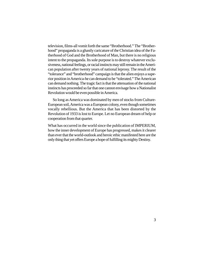television, films-all vomit forth the same "Brotherhood." The "Brotherhood" propaganda is a ghastly caricature of the Christian idea of the Fatherhood of God and the Brotherhood of Man, but there is no religious intent to the propaganda. Its sole purpose is to destroy whatever exclusiveness, national feelings, or racial instincts may still remain in the American population after twenty years of national leprosy. The result of the "tolerance" and "brotherhood" campaign is that the alien enjoys a superior position in America-he can demand to be "tolerated." The American can demand nothing. The tragic fact is that the attenuation of the national instincts has proceeded so far that one cannot envisage how a Nationalist Revolution would be even possible in America.

So long as America was dominated by men of stocks from Culture-European soil, America was a European colony, even though sometimes vocally rebellious. But the America that has been distorted by the Revolution of 1933 is lost to Europe. Let no European dream of help or cooperation from that quarter.

What has occurred in the world since the publication of IMPERIUM, how the inner development of Europe has progressed, makes it clearer than ever that the world-outlook and heroic ethic manifested here are the only thing that yet offers Europe a hope of fulfilling its mighty Destiny.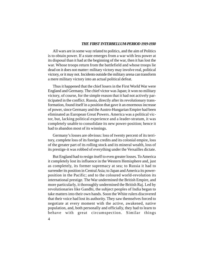#### *THE FIRST INTERBELLUM-PERIOD 1919-1930*

All wars are in some way related to politics, and the aim of Politics is to obtain power. If a state emerges from a war with less power at its disposal than it had at the beginning of the war, then it has lost the war. Whose troops return from the battlefield and whose troops lie dead on it does not matter: military victory may involve real, political victory, or it may not. Incidents outside the military arena can transform a mere military victory into an actual political defeat.

Thus it happened that the chief losers in the First World War were England and Germany. The chief victor was Japan; it won no military victory, of course, for the simple reason that it had not actively participated in the conflict. Russia, directly after its revolutionary transformation, found itself in a position that gave it an enormous increase of power, since Germany and the Austro-Hungarian Empire had been eliminated as European Great Powers. America was a political victor, but, lacking political experience and a leader-stratum, it was completely unable to consolidate its new power-position; hence it had to abandon most of its winnings.

Germany's losses are obvious: loss of twenty percent of its territory, complete loss of its foreign credits and its colonial empire, loss of the greater part of its rolling stock and its mineral wealth, loss of its prestige-it was robbed of everything under the Versailles dictate.

But England had to resign itself to even greater losses. To America it completely lost its influence in the Western Hemisphere and, just as completely, its former supremacy at sea; to Russia it had to surrender its position in Central Asia; to Japan and America its powerposition in the Pacific; and to the coloured world-revolution its international prestige. The War undermined the British Empire, and more particularly, it thoroughly undermined the British Raj. Led by revolutionaries like Gandhi, the subject peoples of India began to take matters into their own hands. Soon the White rulers discovered that their voice had lost its authority. They saw themselves forced to negotiate at every moment with the active, awakened, native population, and, both personally and officially, they had to learn to behave with great circumspection. Similar things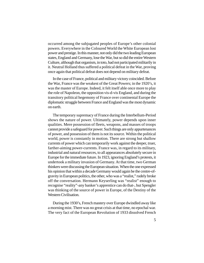occurred among the subjugated peoples of Europe's other colonial powers. Everywhere in the Coloured World the White European lost power and prestige. In this manner, not only did the two leading European states, England and Germany, lose the War, but so did the entire Western Culture, although that organism, in toto, had not participated militarily in it. Neutral Holland thus suffered a political defeat in the War, proving once again that political defeat does not depend on military defeat.

In the case of France, political and military victory coincided. Before the War, France was the weakest of the Great Powers; in the 1920's, it was the master of Europe. Indeed, it felt itself able once more to play the role of Napoleon, the opposition vis-d-vis England, and during the transitory political hegemony of France over continental Europe the diplomatic struggle between France and England was the most dynamic on earth.

The temporary supremacy of France during the Interbellum-Period shows the nature of power. Ultimately, power depends upon inner qualities. Mere possession of fleets, weapons, and masses of troops cannot provide a safeguard for power. Such things are only appurtenances of power, and possession of them is not its source. Within the political world, power is constantly in motion. There are strong but shallow currents of power which can temporarily work against the deeper, truer, farther-aiming power-currents. France was, in regard to its military, industrial and natural resources, to all appearances absolutely secure in Europe for the immediate future. In 1923, ignoring England's protests, it undertook a military invasion of Germany. At that time, two German thinkers were discussing the European situation. When the one expressed his opinion that within a decade Germany would again be the centre-ofgravity in European politics, the other, who was a "realist," rudely broke off the conversation. Hermann Keyserling was "realist" enough to recognise "reality"-any banker's apprentice can do that-, but Spengler was thinking of the source of power in Europe, of the Destiny of the Western Civilisation.

During the 1930's, French mastery over Europe dwindled away like a morning mist. There was no great crisis at that time, no epochal war. The very fact of the European Revolution of 1933 dissolved French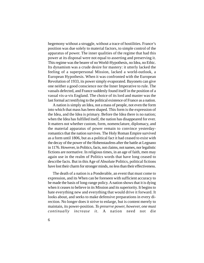hegemony without a struggle, without a trace of hostilities. France's position was due solely to material factors, to simple control of the apparatus of power. The inner qualities of the regime that had this power at its disposal were not equal to asserting and preserving it. This regime was the bearer of no World-Hypothesis, no Idea, no Ethic. Its dynamism was a crude desire for mastery: it utterly lacked the feeling of a superpersonal Mission, lacked a world-outlook, a European Hypothesis. When it was confronted with the European Revolution of 1933, its power simply evaporated. Bayonets can give one neither a good conscience nor the Inner Imperative to rule. The vassals defected, and France suddenly found itself in the position of a vassal vis-a-vis England. The choice of its lord and master was the last formal act testifying to the political existence of France as a nation.

A nation is simply an Idea, not a mass of people, not even the form into which that mass has been shaped. This form is the expression of the Idea, and the Idea is primary. Before the Idea there is no nation; when the Idea has fulfilled itself, the nation has disappeared for ever. It matters not whether custom, form, nomenclature, diplomacy, and the material apparatus of power remain to convince yesterdayromantics that the nation survives. The Holy Roman Empire survived as a form until 1806, but as a political fact it had ceased to exist with the decay of the power of the Hohenstaufens after the battle at Legnano in 1176. However, in Politics, facts, not claims, not names, nor legalistic fictions are normative. In religious times, in an age of faith, men may again use in the realm of Politics words that have long ceased to describe facts. But in this Age of Absolute Politics, political fictions have lost their charm for stronger minds, no less than their effectiveness.

The death of a nation is a Ponderable, an event that must come to expression, and its When can be foreseen with sufficient accuracy to be made the basis of long-range policy. A nation shows that it is dying when it ceases to believe in its Mission and its superiority. It begins to hate everything new and everything that would drive it forward. It looks about, and seeks to make defensive preparations in every direction. No longer does it strive to enlarge, but is content merely to maintain, its power-position. *To preserve power, however, one must continually increase it*. A nation need not die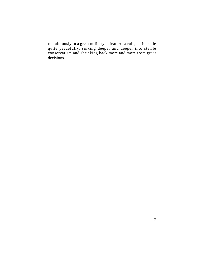tumultuously in a great military defeat. As a rule, nations die quite peacefully, sinking deeper and deeper into sterile conservatism and shrinking back more and more from great decisions.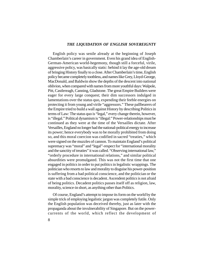#### *THE LIQUIDATION OF ENGLISH SOVEREIGNTY*

English policy was senile already at the beginning of Joseph Chamberlain's career in government. Even his grand idea of English-German-American world-hegemony, though still a forceful, virile, aggressive policy, was basically static: behind it lay the age-old dream of bringing History finally to a close. After Chamberlain's time, English policy became completely toothless, and names like Grey, Lloyd-George, MacDonald, and Baldwin show the depths of the descent into national oblivion, when compared with names from more youthful days: Walpole, Pitt, Castlereagh, Canning, Gladstone. The great Empire Builders were eager for every large conquest; their dim successors indulged in lamentations over the status quo, expending their feeble energies on protecting it from young and virile "aggressors." These pallbearers of the Empire tried to build a wall against History by describing Politics in terms of Law: The status quo is "legal," every change therein, however, is "illegal." Political dynamism is "illegal:" Power-relationships must be continued as they were at the time of the Versailles dictate. After Versailles, England no longer had the national-political energy to increase its power; hence everybody was to be morally prohibited from doing so, and this moral coercion was codified in sacred "treaties," which were signed on the muzzles of cannon. To maintain England's political supremacy was "moral" and "legal"-respect for "international morality and the sanctity of treaties" it was called. "Observing international law," "orderly procedure in international relations," and similar political absurdities were promulgated. This was not the first time that one engaged in politics in order to put politics in legalistic wrappings. The politician who resorts to law and morality to disguise his power-position is suffering from a bad political conscience, and the politician or the state with a bad conscience is decadent. Ascendent politics is not afraid of being politics. Decadent politics passes itself off as religion, law, morality, science-in short, as anything other than Politics.

Of course, England's attempt to impose its form on the world by the simple trick of employing legalistic jargon was completely futile. Only the English population was deceived thereby, just as later with the propaganda about the invulnerability of Singapore. But on the powercurrents of the world, which reflect the development of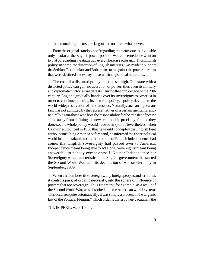superpersonal organisms, the jargon had no effect whatsoever.

From the original standpoint of regarding the status quo as inviolable only insofar as the English power-position was concerned, one went on to that of regarding the status quo everywhere as sacrosanct. Thus English policy, in complete distortion of English interests, was made to support the Serbian, Roumanian, and Bohemian states against the power-currents that were destined to destroy those artificial political structures.

The cost of a distorted policy must be set high. The state with a distorted policy can gain no accretion of power; thus even its military and diplomatic victories are defeats. During the third decade of the 20th century, England gradually handed over its sovereignty to America in order to continue pursuing its distorted policy, a policy devoted to the world-wide preservation of the status quo. Naturally, such an unpleasant fact was not admitted by the representatives of a certain mentality, andnaturally again-those who bore the responsibility for the transfer of power shied away from defining the new relationship precisely; for had they done so, the whole policy would have been spoilt. Nevertheless, when Baldwin announced in 1936 that he would not deploy the English fleet without consulting America beforehand, he informed the entire political world in unmistakable terms that the end of English independence had come, that English sovereignty had passed over to America. Independence means being able to act alone. Sovereignty means being answerable to nobody except oneself. Neither Independence nor Sovereignty was characteristic of the English government that started the Second World War with its declaration of war on Germany in September, 1939.

When a nation loses its sovereignty, any foreign peoples and territories it controls pass, of organic necessity, into the sphere of influence of powers that are sovereign. Thus Denmark, for example, as a result of the Second World War, was absorbed into the American world-system. This occurred quite automatically; it was simply a process of the Organic law of the Political Plenum,\* which ordains that a power-vacuum in the

\*Cf. IMPERIUM, p. 190 ff.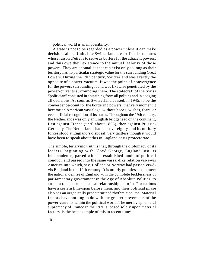political world is an impossibility.

A state is not to be regarded as a power unless it can make decisions alone. Units like Switzerland are artificial structures whose raison d'etre is to serve as buffers for the adjacent powers, and thus owe their existence to the mutual jealousy of those powers. They are anomalies that can exist only so long as their territory has no particular strategic value for the surrounding Great Powers. During the 19th century, Switzerland was exactly the opposite of a power-vacuum. It was the point-of-convergence for the powers surrounding it and was likewise penetrated by the power-currents surrounding them. The statecraft of the Swiss "politician" consisted in abstaining from all politics and in dodging all decisions. As soon as Switzerland ceased, in 1945, to be the convergence-point for the bordering powers, that very moment it became an American vassalage, without hopes, wishes, fears, or even official recognition of its status. Throughout the 19th century, the Netherlands was only an English bridgehead on the continent, first against France (until about 1865), then against Prussia-Germany. The Netherlands had no sovereignty, and its military forces stood at England's disposal, very tactless though it would have been to speak about this in England or its protectorate.

The simple, terrifying truth is that, through the diplomacy of its leaders, beginning with Lloyd George, England lost its independence, parted with its established mode of political conduct, and passed into the same vassal-like relation vis-a-vis America into which, say, Holland or Norway had passed vis-dvis England in the 19th century. It is utterly pointless to connect the national demise of England with the complete fecklessness of parliamentary government in the Age of Absolute Politics, to attempt to construct a causal relationship out of it. For nations have a certain time-span before them, and their political phase also has an organically predetermined rhythmic course. Material factors have nothing to do with the greater movements of the power-currents within the political world. The merely ephemeral supremacy of France in the 1920's, based solely upon material factors, is the best example of this in recent times.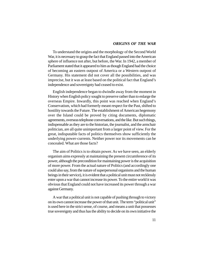#### *ORIGINS OF THE WAR*

To understand the origins and the morphology of the Second World War, it is necessary to grasp the fact that England passed into the American sphere of influence not after, but before, the War. In 1942, a member of Parliament stated that it appeared to him as though England had the choice of becoming an eastern outpost of America or a Western outpost of Germany. His statement did not cover all the possibilities, and was imprecise, but it was at least based on the political fact that England's independence and sovereignty had ceased to exist.

English independence began to dwindle away from the moment in History when English policy sought to preserve rather than to enlarge the overseas Empire. Inwardly, this point was reached when England's Conservatism, which had formerly meant respect for the Past, shifted to hostility towards the Future. The establishment of American hegemony over the Island could be proved by citing documents, diplomatic agreements, overseas telephone conversations, and the like. But such things, indispensable as they are to the historian, the journalist, and the armchair politician, are all quite unimportant from a larger point of view. For the great, indisputable facts of politics themselves show sufficiently the underlying power-currents. Neither power nor its movements can be concealed. What are those facts?

The aim of Politics is to obtain power. As we have seen, an elderly organism aims expressly at maintaining the present circumference of its power, although the precondition for maintaining power is the acquisition of more power. From the actual nature of Politics (and accordingly one could also say, from the nature of superpersonal organisms and the human beings in their service), it is evident that a political unit must not recklessly enter upon a war that cannot increase its power. To the entire world it was obvious that England could not have increased its power through a war against Germany.

A war that a political unit is not capable of pushing through to victory on its own cannot increase the power of that unit. The term "political unit" is used here in the strict sense, of course, and means a unit that possesses true sovereignty and thus has the ability to decide on its own initiative the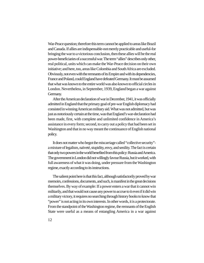War-Peace question; therefore this term cannot be applied to areas like Brazil and Canada. If allies are indispensable-not merely practicable and useful-for bringing the war to a victorious conclusion, then these allies will be the real power-beneficiaries of a successful war. The term "allies" describes only other, real political, units which can make the War-Peace decision on their own initiative; and here, too, areas like Colombia and South Africa are excluded. Obviously, not even with the remnants of its Empire and with its dependencies, France and Poland, could England have defeated Germany. It must be assumed that what was known to the entire world was also known to official circles in London. Nevertheless, in September, 1939, England began a war against Germany.

After the American declaration of war in December, 1941, it was officially admitted in England that the primary goal of pre-war English diplomacy had consisted in winning American military aid. What was not admitted, but was just as notoriously certain at the time, was that England's war-declaration had been made, first, with complete and unlimited confidence in America's assistance in every form; second, to carry out a policy that had been set in Washington and that in no way meant the continuance of English national policy.

It does not matter who begot the miscarriage called "collective security" a mixture of legalism, naïveté, stupidity, envy, and senility. The fact is certain that only two powers in the world benefited from this policy: Russia and America. The government in London did not willingly favour Russia, but it worked, with full awareness of what it was doing, under pressure from the Washington regime, exactly according to its instructions.

The salient point here is that this fact, although satisfactorily proved by war memoirs, confessions, documents, and such, is manifest in the great decisions themselves. By way of example: If a power enters a war that it cannot win militarily, and that would not cause any power to accrue to it even if it did win a military victory, it requires no searching through history books to know that "power" is not acting in its own interests. In other words, it is a protectorate. From the standpoint of the Washington regime, the remnants of the English State were useful as a means of entangling America in a war against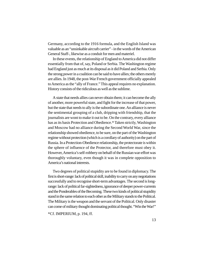Germany, according to the 1916 formula, and the English Island was valuable as an "unsinkable aircraft carrier" - in the words of the American General Staff-, likewise as a conduit for men and materiel.

In these events, the relationship of England to America did not differ essentially from that of, say, Poland or Serbia. The Washington regime had England just as much at its disposal as it did Poland and Serbia. Only the strong power in a coalition can be said to have allies; the others merely are allies. In 1948, the post-War French government officially appealed to America as the "ally of France." This appeal requires no explanation. History consists of the ridiculous as well as the sublime.

A state that needs allies can never obtain them; it can become the ally of another, more powerful state, and fight for the increase of that power, but the state that needs to ally is the subordinate one. An alliance is never the sentimental grouping of a club, dripping with friendship, that the journalists are wont to make it out to be. On the contrary, every alliance has as its basis Protection and Obedience.\* Taken strictly, Washington and Moscow had no alliance during the Second World War, since the relationship showed obedience, to be sure, on the part of the Washington regime without protection (which is a corollary of authority) on the part of Russia. In a Protection-Obedience relationship, the protectorate is within the sphere of influence of the Protector, and therefore must obey it. However, America's self-robbery on behalf of the Russian war-effort was thoroughly voluntary, even though it was in complete opposition to America's national interests.

Two degrees of political stupidity are to be found in diplomacy. The first is short-range: lack of political skill, inability to carry on any negotiations successfully and to recognise short-term advantages. The second is longrange: lack of political far-sightedness, ignorance of deeper power-currents and the Ponderables of the Becoming. These two kinds of political stupidity stand in the same relation to each other as the Military stands to the Political. The Military is the weapon and the servant of the Political. Only disaster can come of military thought dominating political thought. "Win the War!"

\*Cf. IMPERIUM, p. 194, ff.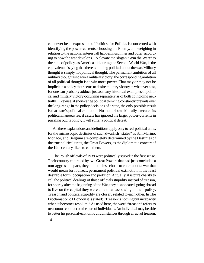can never be an expression of Politics, for Politics is concerned with identifying the power-currents, choosing the Enemy, and weighing in relation to the national interest all happenings, inner and outer, according to how the war develops. To elevate the slogan "Win the War!" to the rank of policy, as America did during the Second World War, is the equivalent of saying that there is nothing political about the war. Military thought is simply not political thought. The permanent ambition of all military thought is to win a military victory; the corresponding ambition of all political thought is to win more power. That may or may not be implicit in a policy that seems to desire military victory at whatever cost, for one can probably adduce just as many historical examples of political and military victory occurring separately as of both coinciding neutrally. Likewise, if short-range political thinking constantly prevails over the long-range in the policy decisions of a state, the only possible result is that state's political extinction. No matter how skillfully executed its political manoeuvres, if a state has ignored the larger power-currents in puzzling out its policy, it will suffer a political defeat.

All these explanations and definitions apply only to real political units, for the microscopic destinies of such dwarfish "states" as San Marino, Monaco, and Belgium are completely determined by the Destinies of the true political units, the Great Powers, as the diplomatic concert of the 19th century liked to call them.

The Polish officials of 1939 were politically stupid in the first sense. Their country encircled by two Great Powers that had just concluded a non-aggression pact, they nonetheless chose to enter upon a war that would mean for it direct, permanent political extinction in the least desirable form: occupation and partition. Actually, it is pure charity to call the political dealings of those officials stupidity instead of treason, for shortly after the beginning of the War, they disappeared, going abroad to live on the capital they were able to amass owing to their policy. Treason and political stupidity are closely related to each other. In The Proclamation o f London it is stated: "Treason is nothing but incapacity when it becomes resolute." As used here, the word "treason" refers to treasonous conduct on the part of individuals. An individual may be able to better his personal-economic circumstances through an act of treason,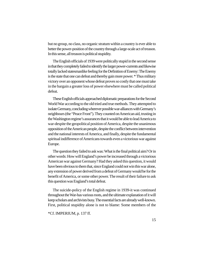but no group, no class, no organic stratum within a country is ever able to better the power-position of the country through a large-scale act of treason. In this sense, all treason is political stupidity.

The English officials of 1939 were politically stupid in the second sense in that they completely failed to identify the larger power-currents and likewise totally lacked statesmanlike feeling for the Definition of Enemy: The Enemy is the state that one can defeat and thereby gain more power. \* Thus military victory over an opponent whose defeat proves so costly that one must take in the bargain a greater loss of power elsewhere must be called political defeat.

These English officials approached diplomatic preparations for the Second World War according to the old tried and true methods. They attempted to isolate Germany, concluding wherever possible war-alliances with Germany's neighbours (the "Peace Front"). They counted on American aid, trusting in the Washington regime's assurances that it would be able to lead America to war-despite the geopolitical position of America, despite the unanimous opposition of the American people, despite the conflict between intervention and the national interests of America, and finally, despite the fundamental spiritual indifference of Americans towards even a victorious war against Europe.

The question they failed to ask was: What is the final political aim? Or in other words: How will England's power be increased through a victorious American war against Germany? Had they asked this question, it would have been obvious to them that, since England could not win this war alone, any extension of power derived from a defeat of Germany would be for the benefit of America, or some other power. The result of their failure to ask this question was England's total defeat.

The suicide-policy of the English regime in 1939-it was continued throughout the War-has various roots, and the ultimate explanation of it will keep scholars and archivists busy. The essential facts are already well-known. First, political stupidity alone is not to blame: Some members of the

\*Cf. IMPERIUM, p. 137 ff.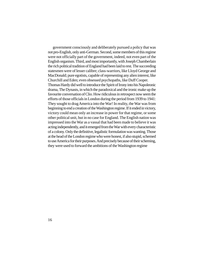government consciously and deliberately pursued a policy that was not pro-English, only anti-German. Second, some members of this regime were not officially part of the government, indeed, not even part of the English organism. Third, and most importantly, with Joseph Chamberlain the rich political tradition of England had been laid to rest. The succeeding statesmen were of lesser calibre; class-warriors, like Lloyd George and MacDonald; pure egotists, capable of representing any alien interest, like Churchill and Eden; even obsessed psychopaths, like Duff Cooper.

Thomas Hardy did well to introduce the Spirit of Irony into his Napoleonic drama, The Dynasts, in which the paradoxical and the ironic make up the favourite conversation of Clio. How ridiculous in retrospect now seem the efforts of those officials in London during the period from 1939 to 1941: They sought to drag America into the War! In reality, the War was from beginning to end a creation of the Washington regime. If it ended in victory, victory could mean only an increase in power for that regime, or some other political unit, but in no case for England. The English nation was impressed into the War as a vassal that had been made to believe it was acting independently, and it emerged from the War with every characteristic of a colony. Only the definitive, legalistic formulation was wanting. Those at the head of the London regime who were honest, if also stupid, schemed to use America for their purposes. And precisely because of their scheming, they were used to forward the ambitions of the Washington regime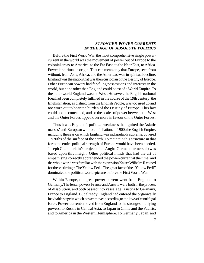#### *STRONGER POWER-CURRENTS IN THE AGE OF ABSOLUTE POLITICS*

Before the First World War, the most comprehensive single powercurrent in the world was the movement of power out of Europe to the colonial areas-to America, to the Far East, to the Near East, to Africa. Power is spiritual in origin. That can mean only that Europe, seen from without, from Asia, Africa, and the Americas-was in spiritual decline. England was the nation that was then custodian of the Destiny of Europe. Other European powers had far-flung possessions and interests in the world, but none other than England could boast of a World Empire. To the outer world England was the West. However, the English national Idea had been completely fulfilled in the course of the 19th century; the English nation, as distinct from the English People, was too used up and too worn out to bear the burden of the Destiny of Europe. This fact could not be concealed, and so the scales of power between the West and the Outer Forces tipped over more in favour of the Outer Forces.

Thus it was England's political weakness that ignited the Asiatic masses' anti-European will-to-annihilation. In 1900, the English Empire, including the seas on which England was indisputably supreme, covered 17/20ths of the surface of the earth. To maintain this structure in that form the entire political strength of Europe would have been needed. Joseph Chamberlain's project of an Anglo-German partnership was based upon this insight. Other political minds that had the art of empathising correctly apprehended the power-current at the time, and the whole world was familiar with the expression Kaiser Wilhelm II coined for these stirrings: The Yellow Peril. The great fact of the "Yellow Peril" dominated the political world-picture before the First World War.

Within Europe, the great power-current went from England to Germany. The lesser powers France and Austria were both in the process of dissolution, and both passed into vassalage: Austria to Germany, France to England. But already England had entered the organically inevitable stage in which power moves according to the laws of centrifugal force. Power-currents moved from England to the strongest outlying powers, to Russia in Central Asia, to Japan in China and the Pacific, and to America in the Western Hemisphere. To Germany, Japan, and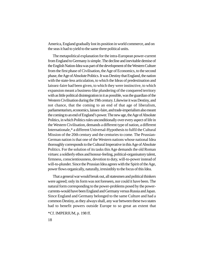America, England gradually lost its position in world commerce, and on the seas it had to yield to the same three political units.

The metapolitical explanation for the intra-European power-current from England to Germany is simple. The decline and inevitable demise of the English Nation-Idea was part of the development of the Western Culture from the first phase of Civilisation, the Age of Economics, to the second phase, the Age of Absolute Politics. It was Destiny that England, the nation with the state-less articulation, to which the Ideas of predestination and laissez-faire had been given, to which they were instinctive, to which expansion meant a business-like plundering of the conquered territory with as little political disintegration in it as possible, was the guardian of the Western Civilisation during the 19th century. Likewise it was Destiny, and not chance, that the coming to an end of that age of liberalism, parliamentarism, economics, laissez-faire, and trade-imperialism also meant the coming to an end of England's power. The new age, the Age of Absolute Politics, in which Politics rules unconditionally over every aspect of life in the Western Civilisation, demands a different type of nation, a different Internationale,\* a different Universal-Hypothesis to fulfil the Cultural Mission of the 20th century and the centuries to come. The Prussian-German nation is that one of the Western nations whose national Idea thoroughly corresponds to the Cultural Imperative in this Age of Absolute Politics. For the solution of its tasks this Age demands the old Roman virtues: a soldierly ethos and honour-feeling, political-organisatory talent, firmness, conscientiousness, devotion to duty, will-to-power instead of will-to-plunder. Since the Prussian Idea agrees with the Spirit of the Age, power flows organically, naturally, irresistibly to the focus of this Idea.

That a general war would break out, all statesmen and political thinkers were agreed; only its form was not foreseen, nor could it have been. The natural form corresponding to the power-problems posed by the powercurrents-would have been England and Germany versus Russia and Japan. Since England and Germany belonged to the same Culture and had a common Destiny, as they always shall, any war between these two states had to benefit powers outside Europe to so great an extent that

\*Cf. IMPERIUM, p. 198 ff.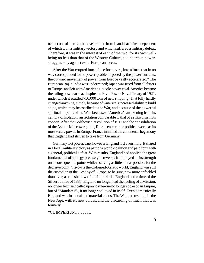neither one of them could have profited from it, and that quite independent of which won a military victory and which suffered a military defeat. Therefore, it was in the interest of each of the two, for its own wellbeing no less than that of the Western Culture, to undertake powerstruggles only against extra-European forces.

After the War erupted into a false form, viz., into a form that in no way corresponded to the power-problems posed by the power-currents, the outward movement of power from Europe vastly accelerated.\* The European Raj in India was undermined; Japan was freed from all fetters to Europe, and left with America as its sole power-rival. America became the ruling power at sea, despite the Five-Power-Naval Treaty of 1921, under which it scuttled 750,000 tons of new shipping. That folly hardly changed anything, simply because of America's increased ability to build ships, which may be ascribed to the War, and because of the powerful spiritual impetus of the War, because of America's awakening from its century of isolation, an isolation comparable to that of a silkworm in its cocoon. After the Bolshevist Revolution of 1917 and the consolidation of the Asiatic Moscow regime, Russia entered the political world as its most secure power. In Europe, France inherited the continental hegemony that England had striven to take from Germany.

Germany lost power, true; however England lost even more. It shared in a local, military victory as part of a world-coalition and paid for it with a general, political defeat. With results, England had applied the great fundamental of strategy precisely in reverse: it employed all its strength on inconsequential points while reserving as little of it as possible for the decisive point. Vis-d-vis the Coloured-Asiatic world, England was still the custodian of the Destiny of Europe, to be sure, now more enfeebled than ever, a pale shadow of the Imperialist England at the time of the Silver Jubilee of 1887. England no longer had the feeling of a Mission, no longer felt itself called upon to rule-one no longer spoke of an Empire, but of "Mandates"-, it no longer believed in itself. Even domestically England was in moral and material chaos. The War had resulted in the New Age, with its new values, and the discarding of much that was formerly

\*Cf. IMPERIUM, p.565 ff.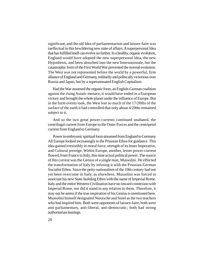significant, and the old Idea of parliamentarism and laissez-faire was ineffectual in this bewildering new state of affairs. A superpersonal Idea that has fulfilled itself can evolve no further. In a healthy, organic evolution, England would have adopted the new superpersonal Idea, the new Hypothesis, and been absorbed into the new Internationale, but the catastrophic form of the First World War prevented the normal evolution. The West was not represented before the world by a powerful, firm alliance of England and Germany, militarily and politically victorious over Russia and Japan, but by a superannuated English Capitalism.

Had the War assumed the organic form, an English-German coalition against the rising Asiatic menace, it would have ended in a European victory and brought the whole planet under the influence of Europe. But in the form events took, the West lost so much of the 17/20ths of the surface of the earth it had controlled that only about 4/20ths remained subject to it.

And so the two great power-currents continued unabated, the centrifugal current from Europe to the Outer Forces and the centripetal current from England to Germany.

Power in embryonic spiritual form streamed from England to Germany All Europe looked increasingly to the Prussian Ethos for guidance. This idea gained irresistibly in moral force, strength of its Inner Imperative, and Cultural prestige. Within Europe, another, lesser power-current flowed, from France to Italy, this time actual political power. The source of this current was the Genius of a single man, Mussolini. He effected the transformation of Italy by infusing it with the Prussian-German Socialist Ethos. Since the petty-nationalism of the 19th century had not yet been overcome in Italy, as elsewhere, Mussolini was forced to associate his new State-building Ethos with the name of Imperial Rome. Italy and the entire Western Civilisation have no inward connexion with Imperial Rome, nor did it stand in any relation to them. Therefore, it may not be amiss if the true inspiration of his Genius is mentioned here. Mussolini himself designated Nietzsche and Sorel as the two teachers who had inspired him. Both were opponents of laissez-faire, both were anti-parliamentary, anti-liberal, anti-democratic; both had strong authoritarian leanings.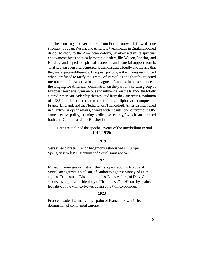The centrifugal power-current from Europe outwards flowed more strongly to Japan, Russia, and America. Weak heads in England looked disconsolately to the American colony, symbolised in its spiritual endowments by its politically moronic leaders, like Wilson, Lansing, and Harding, and hoped for spiritual leadership and material support from it. That kept on even after Americans demonstrated loudly and clearly that they were quite indifferent to European politics, as their Congress showed when it refused to ratify the Treaty of Versailles and thereby rejected membership for America in the League of Nations. In consequence of the longing for American domination on the part of a certain group of Europeans-especially numerous and influential on the Island-, the totally altered American leadership that resulted from the American Revolution of 1933 found an open road to the financial-diplomatic conquest of France, England, and the Netherlands. Thenceforth America intervened in all intra-European affairs, always with the intention of promoting the same negative policy, meaning "collective security," which can be called both anti-German and pro-Bolshevist.

Here are outlined the epochal events of the Interbellum Period **1919-1939:**

#### **1919**

**Versailles dictate;** French hegemony established in Europe. Spengler'swork Preussentum and Sozialismus appears.

#### **1921**

Mussolini emerges in History; the first open revolt in Europe of Socialism against Capitalism, of Authority against Money, of Faith against Criticism, of Discipline against Laissez-faire, of Duty-Consciousness against the ideology of "happiness," of Hierarchy against Equality, of the Will-to-Power against the Will-to-Plunder.

#### **1923**

France invades Germany; high point of France's power in its domination of continental Europe.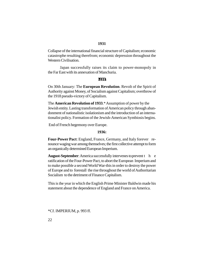#### **1931**

Collapse of the international financial structure of Capitalism; economic catastrophe resulting therefrom; economic depression throughout the Western Civilisation.

Japan successfully raises its claim to power-monopoly in the Far East with its annexation of Manchuria.

#### **1933:**

On 30th January: The **European Revolution**. Revolt of the Spirit of Authority against Money, of Socialism against Capitalism; overthrow of the 1918 pseudo-victory of Capitalism.

The **American Revolution of 1933**.\* Assumption of power by the Jewish entity. Lasting transformation of American policy through abandonment of nationalistic isolationism and the introduction of an internationalist policy. Formation of the Jewish-American Symbiosis begins.

End of French hegemony over Europe.

#### **1936:**

**Four-Power Pact**: England, France, Germany, and Italy forever renounce waging war among themselves; the first collective attempt to form an organically determined European Imperium.

**August-September:** America successfully intervenes to prevent t h e ratification of the Four-Power Pact, to abort the European Imperium and to make possible a second World War-this in order to destroy the power of Europe and to forestall the rise throughout the world of Authoritarian Socialism to the detriment of Finance Capitalism.

This is the year in which the English Prime Minister Baldwin made his statement about the dependence of England and France on America.

\*Cf. IMPERIUM, p. 993 ff.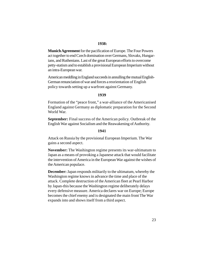#### **1938:**

**Munich Agreement** for the pacification of Europe. The Four Powers act together to end Czech domination over Germans, Slovaks, Hungarians, and Ruthenians. Last of the great European efforts to overcome petty-statism and to establish a provisional European Imperium without an intra-European war.

American meddling in England succeeds in annulling the mutual English-German renunciation of war and forces a reorientation of English policy towards setting up a warfront against Germany.

#### **1939**

Formation of the "peace front," a war-alliance of the Americanised England against Germany as diplomatic preparation for the Second World War.

**September:** Final success of the American policy. Outbreak of the English War against Socialism and the Reawakening of Authority.

#### **1941**

Attack on Russia by the provisional European Imperium. The War gains a second aspect.

**November:** The Washington regime presents its war-ultimatum to Japan as a means of provoking a Japanese attack that would facilitate the intervention of America in the European War against the wishes of the American populace.

**December:** Japan responds militarily to the ultimatum, whereby the Washington regime knows in advance the time and place of the attack. Complete destruction of the American fleet at Pearl Harbor by Japan-this because the Washington regime deliberately delays every defensive measure. America declares war on Europe; Europe becomes the chief enemy and is designated the main front The War expands into and shows itself from a third aspect.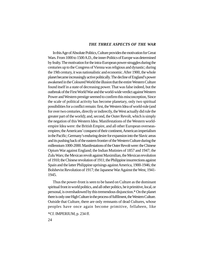#### *THE THREE ASPECTS OF THE WAR*

In this Age of Absolute Politics, Culture provides the motivation for Great Wars. From 1000 to 1500 A.D., the inner-Politics of Europe was determined by fealty. The motivation for the intra-European power-struggles during the centuries up to the Congress of Vienna was religious and dynastic; during the 19th century, it was nationalistic and economic. After 1900, the whole planet became increasingly active politically. The decline of England's power awakened in the Coloured World the illusion that the entire Western Culture found itself in a state of decreasing power. That was false indeed, but the outbreak of the First World War and the world-wide verdict against Western Power and Western prestige seemed to confirm this misconception, Since the scale of political activity has become planetary, only two spiritual possibilities for a conflict remain: first, the Western Idea of world-rule (and for over two centuries, directly or indirectly, the West actually did rule the greater part of the world); and, second, the Outer Revolt, which is simply the negation of this Western Idea. Manifestations of the Western worldempire Idea were: the British Empire, and all other European overseasempires; the Americans' conquest of their continent, American imperialism in the Pacific; Germany's enduring desire for expansion into the Slavic areas and its pushing back of the eastern frontier of the Western Culture during the millennium 1000-2000. Manifestations of the Outer Revolt were: the Chinese Opium War against England; the Indian Mutinies of 1857 and 1947; the Zulu Wars; the Mexican revolt against Maximilian, the Mexican revolution of 1910; the Chinese revolution of 1911; the Philippine insurrections against Spain and the latter Philippine uprisings against America, 1900-1946; the Bolshevist Revolution of 1917; the Japanese War Against the West, 1941- 1945.

Thus the power-front is seen to be based on Culture as the dominant spiritual front in world politics, and all other politics, be it primitive, local, or personal, is overshadowed by this tremendous disjunction.\* On the planet there is only one High Culture in the process of fulfilment, the Western Culture. Outside that Culture, there are only remnants of dead Cultures, whose peoples have once again become primitive, fellaheen, like

\*Cf. IMPERIUM, p. 234 ff.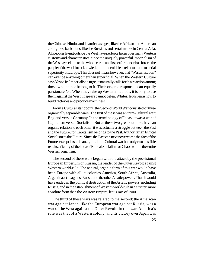the Chinese, Hindu, and Islamic; savages, like the African and American aborigines; barbarians, like the Russians and certain tribes in Central Asia. All peoples living outside the West have perforce taken over many Western customs and characteristics, since the uniquely powerful imperialism of the West lays claim to the whole earth, and its performance has forced the people of the world to acknowledge the undeniable intellectual and material superiority of Europe. This does not mean, however, that "Westernisation" can ever be anything other than superficial. When the Western Culture says Yes to its Imperialistic urge, it naturally calls forth a reaction among those who do not belong to it. Their organic response is an equally passionate No. When they take up Western methods, it is only to use them against the West: If spears cannot defeat Whites, let us learn how to build factories and produce machines!

From a Cultural standpoint, the Second World War consisted of three organically separable wars. The first of these was an intra-Cultural war: England versus Germany. In the terminology of Ideas, it was a war of Capitalism versus Socialism. But as these two great outlooks have an organic relation to each other, it was actually a struggle between the Past and the Future, for Capitalism belongs to the Past, Authoritarian Ethical Socialism to the Future. Since the Past can never overcome the fact of the Future, except in semblance, this intra-Cultural war had only two possible results: Victory of the Idea of Ethical Socialism or Chaos within the entire Western organism.

The second of these wars began with the attack by the provisional European Imperium on Russia, the leader of the Outer Revolt against Western world-rule. The natural, organic form of this war would have been Europe with all its colonies-America, South Africa, Australia, Argentina, et al.against Russia and the other Asiatic powers. Thus it would have ended in the political destruction of the Asiatic powers, including Russia, and in the establishment of Western world-rule in a stricter, more absolute form than the Western Empire, let us say, of 1900.

The third of these wars was related to the second: the American war against Japan, like the European war against Russia, was a war of the West against the Outer Revolt. In this war, America's role was that of a Western colony, and its victory over Japan was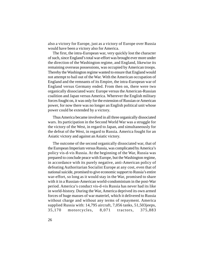also a victory for Europe, just as a victory of Europe over Russia would have been a victory also for America.

The first, the intra-European war, very quickly lost the character of such, since England's total war-effort was brought ever more under the direction of the Washington regime, and England, likewise its remaining overseas possessions, was occupied by American troops. Thereby the Washington regime wanted to ensure that England would not attempt to bail out of the War. With the American occupation of England and the remnants of its Empire, the intra-European war of England versus Germany ended. From then on, there were two organically dissociated wars: Europe versus the American-Russian coalition and Japan versus America. Wherever the English military forces fought on, it was only for the extension of Russian or American power, for now there was no longer an English political unit whose power could be extended by a victory.

Thus America became involved in all three organically dissociated wars. Its participation in the Second World War was a struggle for the victory of the West, in regard to Japan, and simultaneously for the defeat of the West, in regard to Russia. America fought for an Asiatic victory and against an Asiatic victory.

The outcome of the second organically dissociated war, that of the European Imperium versus Russia, was complicated by America's policy vis-d-vis Russia. At the beginning of the War, Russia was prepared to conclude peace with Europe, but the Washington regime, in accordance with its purely negative, anti-American policy of defeating Authoritarian Socialist Europe at any cost, even that of national suicide, promised to give economic support to Russia's entire war-effort, so long as it would stay in the War, promised to share with it in a Russian-American world-condominium in the post-War period. America's conduct vis-d-vis Russia has never had its like in world-history. During the War, America deprived its own armed forces of huge masses of war materiel, which it delivered to Russia without charge and without any terms of repayment. America supplied Russia with: 14,795 aircraft, 7,056 tanks, 51,503jeeps, 35,170 motorcycles, 8,071 tractors, 375,883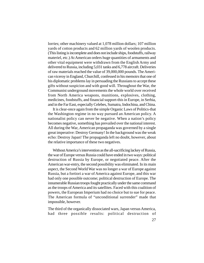lorries; other machinery valued at 1,078 million dollars; 107 million yards of cotton products and 62 million yards of woolen products. (This listing is incomplete and does not include ships, foodstuffs, railway materiel, etc.) At American orders huge quantities of armaments and other vital equipment were withdrawn from the English Army and delivered to Russia, including 5,031 tanks and 6,778 aircraft. Deliveries of raw materials reached the value of 39,000,000 pounds. The American viceroy in England, Churchill, confessed in his memoirs that one of his diplomatic problems lay in persuading the Russians to accept these gifts without suspicion and with good will. Throughout the War, the Communist underground movements the whole world over received from North America weapons, munitions, explosives, clothing, medicines, foodstuffs, and financial support-this in Europe, in Serbia, and in the Far East, especially Celebes, Sumatra, Indochina, and China.

It is clear-once again from the simple Organic Laws of Politics-that the Washington regime in no way pursued an American policy. A nationalist policy can never be negative. When a nation's policy becomes negative, something has prevailed over the national interest. All during the War, American propaganda was governed by a single great imperative: Destroy Germany! In the background was the weak echo: Destroy Japan! The propaganda left no doubt, however, about the relative importance of these two negatives.

Without America's intervention as the all-sacrificing lackey of Russia, the war of Europe versus Russia could have ended in two ways: political destruction of Russia by Europe, or negotiated peace. After the American war-entry, the second possibility was eliminated. In its main aspect, the Second World War was no longer a war of Europe against Russia, but a fortiori a war of America against Europe, and this war had only one possible outcome; political destruction of Europe. The innumerable Russian troops fought practically under the same command as the troops of America and its satellites. Faced with this coalition of powers, the European Imperium had no choice but to sue for peace. The American formula of "unconditional surrender" made that impossible, however.

The third of the organically dissociated wars, Japan versus America, had three possible results: political destruction of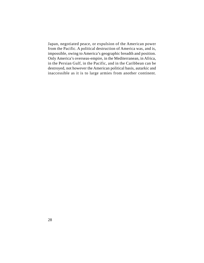Japan, negotiated peace, or expulsion of the American power from the Pacific. A political destruction of America was, and is, impossible, owing to America's geographic breadth and position. Only America's overseas-empire, in the Mediterranean, in Africa, in the Persian Gulf, in the Pacific, and in the Caribbean can be destroyed, not however the American political basis, autarkic and inaccessible as it is to large armies from another continent.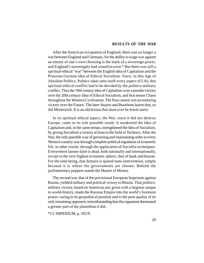# *RESULTS OF THE WAR*

After the American occupation of England, there was no longer a war between England and Germany, for the ability to wage war against an enemy of one's own choosing is the mark of a sovereign power, and England's sovereignty had ceased to exist.\* But there was still a spiritual-ethical "war" between the English idea of Capitalism and the Prussian-German idea of Ethical Socialism. Since, in this Age of Absolute Politics, Politics takes unto itself every aspect of Life, this spiritual-ethical conflict had to be decided by the politico-military conflict. Thus the 19th century idea of Capitalism won a pseudo-victory over the 20th century Idea of Ethical Socialism, and that meant Chaos throughout the Western Civilisation. The Past cannot win an enduring victory over the Future. The later Stuarts and Bourbons learnt that, so did Metternich. It is an old lesson that must ever be learnt anew.

In its spiritual ethical aspect, the War, since it did not destroy Europe, came to its sole possible result: It weakened the Idea of Capitalism and, in the same tempo, strengthened the Idea of Socialism, by giving Socialism a victory at least in the field of Technics. After the War, the only possible way of governing and maintaining order in every Western country was through complete political regulation of economic life, in other words, through the application of Socialist techniques. Everywhere laissez-faire is dead, both nationally and internationally, except in the very highest economic sphere, that of bank and bourse. For the time being, that domain is spared state-intervention, simply because it is where the governments are chosen. Behind the parliamentary puppets stands the Master of Money.

The second war, that of the provisional European Imperium against Russia, yielded military and political victory to Russia. That politicomilitary victory, based on American aid, given with a largesse unique in world-history, made the Russian Empire into the world's foremost power, owing to its geopolitical position and to the poor quality of its only remaining opponent, notwithstanding that this opponent dominated a greater part of the planetthan it did.

\*Cf. IMPERIUM, p. 183 ff.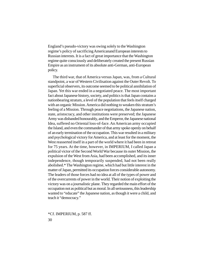England's pseudo-victory was owing solely to the Washington regime's policy of sacrificing Americanand European interests to Russian interests. It is a fact of great importance that the Washington regime quite consciously and deliberately created the present Russian Empire as an instrument of its absolute anti-German, anti-European policy.

The third war, that of America versus Japan, was, from a Cultural standpoint, a war of Western Civilisation against the Outer Revolt. To superficial observers, its outcome seemed to be political annihilation of Japan. Yet this war ended in a negotiated peace. The most important fact about Japanese history, society, and politics is that Japan contains a nationbearing stratum, a level of the population that feels itself charged with an organic Mission. America did nothing to weaken this stratum's feeling of a Mission. Through peace negotiations, the Japanese nation, state, aristocracy, and other institutions were preserved; the Japanese Army was disbanded honourably, and the Emperor, the Japanese national Idea, suffered no Oriental loss-of-face. An American army occupied the Island, and even the commander of that army spoke openly on behalf of an early termination of the occupation. This war resulted in a military and psychological victory for America, and at least for the moment, the West reasserted itself in a part of the world where it had been in retreat for 75 years. At the time, however, in IMPERIUM, I called Japan a political victor of the Second World War because its outer Mission, the expulsion of the West from Asia, had been accomplished, and its inner independence, though temporarily suspended, had not been really abolished.\* The Washington regime, which had but little interest in the matter of Japan, permitted its occupation forces considerable autonomy. The leaders of those forces had no idea at all of the types of power and of the overcurrents of power in the world. Their notion of exploiting the victory was on a journalistic plane. They regarded the main effort of the occupation not as political but as moral. In all seriousness, this leadership wanted to "educate" the Japanese nation, as though it were a child, and teach it "democracy."

\*Cf. IMPERIUM, p. 587 ff.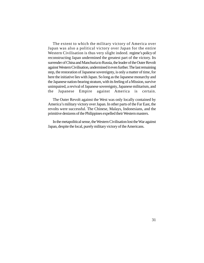The extent to which the military victory of America over Japan was also a political victory over Japan for the entire Western Civilisation is thus very slight indeed. regime's policy of reconstructing Japan undermined the greatest part of the victory. Its surrender of China and Manchuria to Russia, the leader of the Outer Revolt against Western Civilisation, undermined it even further. The last remaining step, the restoration of Japanese sovereignty, is only a matter of time, for here the initiative lies with Japan. So long as the Japanese monarchy and the Japanese nation-bearing stratum, with its feeling of a Mission, survive unimpaired, a revival of Japanese sovereignty, Japanese militarism, and the Japanese Empire against America is certain.

The Outer Revolt against the West was only locally contained by America's military victory over Japan. In other parts of the Far East, the revolts were successful. The Chinese, Malays, Indonesians, and the primitive denizens of the Philippines expelled their Western masters.

In the metapolitical sense, the Western Civilisation lost the War against Japan, despite the local, purely military victory of the Americans.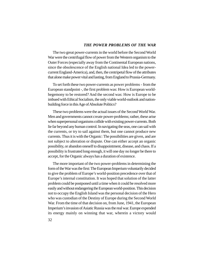#### *THE POWER PROBLEMS OF THE WAR*

The two great power-currents in the world before the Second World War were the centrifugal flow of power from the Western organism to the Outer Forces (especially away from the Continental European nations, since the obsolescence of the English national Idea led to the powercurrent England-America), and, then, the centripetal flow of the attributes that alone make power vital and lasting, from England to Prussia-Germany.

To set forth these two power-currents as power problems - from the European standpoint -, the first problem was: How is European worldhegemony to be restored? And the second was: How is Europe to be imbued with Ethical Socialism, the only viable world-outlook and nationbuilding force in this Age of Absolute Politics?

These two problems were the actual issues of the Second World War. Men and governments cannot create power-problems; rather, these arise when superpersonal organisms collide with existing power-currents. Both lie far beyond any human control. In navigating the seas, one can sail with the currents, or try to sail against them, but one cannot produce new currents. Thus it is with the Organic: The possibilities are given, and are not subject to alteration or dispute. One can either accept an organic possibility, or abandon oneself to disappointment, disease, and chaos. If a possibility is frustrated long enough, it will one day no longer be there to accept, for the Organic always has a duration of existence.

The more important of the two power-problems in determining the form of the War was the first: The European Imperium voluntarily decided to give the problem of Europe's world-position precedence over that of Europe's internal constitution. It was hoped that solution of the latter problem could be postponed until a time when it could be resolved more easily and without endangering the European world-position. This decision not to occupy the English Island was the personal decision of the Hero who was custodian of the Destiny of Europe during the Second World War. From the time of that decision on, from June, 1941, the European Imperium's invasion of Asiatic Russia was the real war. Europe expended its energy mainly on winning that war, wherein a victory would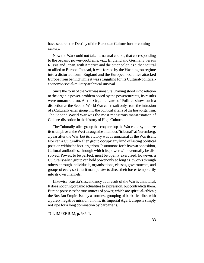have secured the Destiny of the European Culture for the coming century.

Now the War could not take its natural course, that corresponding to the organic power-problems, viz., England and Germany versus Russia and Japan, with America and the other colonies either neutral or allied to Europe. Instead, it was forced by the Washington regime into a distorted form: England and the European colonies attacked Europe from behind while it was struggling for its Cultural-politicaleconomic-social-military-technical survival.

Since the form of the War was unnatural, having stood in no relation to the organic power-problem posed by the powercurrents, its results were unnatural, too. As the Organic Laws of Politics show, such a distortion as the Second World War can result only from the intrusion of a Culturally-alien group into the political affairs of the host-organism. The Second World War was the most monstrous manifestation of Culture-distortion in the history of High Culture.

The Culturally-alien group that conjured up the War could symbolize its triumph over the West through the infamous "tribunal" at Nuremberg, a year after the War, but its victory was as unnatural as the War itself. Nor can a Culturally-alien group occupy any kind of lasting political position within the host-organism. It summons forth its own opposition, Cultural antibodies, through which its power will eventually be dissolved. Power, to be perfect, must be openly exercised; however, a Culturally-alien group can hold power only so long as it works through others, through individuals, organisations, classes, governments, and groups of every sort that it manipulates to direct their forces temporarily into its own channels.

Likewise, Russia's ascendancy as a result of the War is unnatural. It does not bring organic actualities to expression, but contradicts them. Europe possesses the true sources of power, which are spiritual-ethical; the Russian Empire is only a formless grouping of barbaric tribes with a purely negative mission. In this, its Imperial Age, Europe is simply not ripe for a long domination by barbarians.

\*Cf. IMPERIUM, p. 535 ff.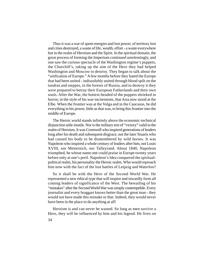Thus it was a war of spent energies and lost power, of territory lost and cities destroyed, a waste of life, wealth, effort - a waste everywhere but in the realm of Heroism and the Spirit. In the spiritual domain, the great process of forming the Imperium continued unrelentingly, and one saw the curious spectacle of the Washington regime's puppets, the Churchill's, taking up the aim of the Hero they had helped Washington and Moscow to destroy. They began to talk about the "unification of Europe." A few months before they hated the Europe that had been united - indissolubly united through blood spilt on the tundras and steppes, in the forests of Russia, and to destroy it they were prepared to betray their European Fatherlands and their own souls. After the War, the hottest-headed of the puppets shrieked in horror, in the style of his war-incitements, that Asia now stood at the Elbe. When the frontier was at the Volga and in the Caucasus, he did everything in his power, little as that was, to bring this frontier into the middle of Europe.

The Heroic world stands infinitely above the economic-technical disjunction utile-inutile. Nor is the military test of "victory" valid in the realm of Heroism. It was Cromwell who inspired generations of leaders long after his death and subsequent disgrace, not the later Stuarts who had caused his body to be dismembered by wild horses. It was Napoleon who inspired a whole century of leaders after him, not Louis XVIII, nor Metternich, nor Talleyrand. About 1840, Napoleon triumphed, he whose name one could praise in Europe twenty years before only at one's peril. Napoleon's Idea conquered the spiritualpolitical realm, his personality the Heroic realm. Who would reproach him now with the fact of the lost battles of Leipzig and Waterloo?

So it shall be with the Hero of the Second World War. He represented a new ethical type that will inspire and inwardly form all coming leaders of significance of the West. The bewailing of his "mistakes" after the Second World War was simply contemptible. Every journalist and every braggart knows better than the great man - they would not have made this mistake or that. Indeed, they would never have been in the place to do anything at all!

Heroism is and can never be wasted. So long as men survive a Hero, they will be influenced by him and his legend. He lives on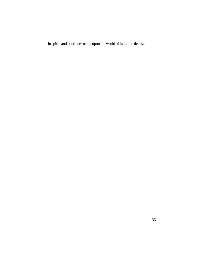in spirit, and continues to act upon the world of facts and deeds.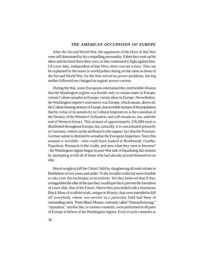# *THE AMERICAN OCCUPATION OF EUROPE*

After the Second World War, the opponents of the Hero of that War were still dominated by his compelling personality. Either they took up his ideas and declared them their own, or they continued to fight against him. Of a new Idea, independent of that Hero, there was not a trace. This can be explained by the issues in world politics being yet the same as those of the Second World War, for the War solved no power-problems, having neither followed nor changed an organic power-current.

During the War, some Europeans entertained the comfortable illusion that the Washington regime was hostile only to certain states in Europe, certain Culture-peoples in Europe, certain ideas in Europe. Nevertheless, the Washington regime's real enemy was Europe, which means, above all, the Culture-bearing stratum of Europe, that invisible stratum of the population that by virtue of its sensitivity to Cultural Imperatives is the custodian of the Destiny of the Western Civilisation, and will remain so, too, until the end of Western history. This stratum of approximately 250,000 souls is distributed throughout Europe, but, naturally, it is concentrated primarily in Germany, which can be attributed to the organic fact that the Prussian-German nation is destined to actualise the European Imperium. Since this stratum is invisible - who could have looked at Rembrandt, Goethe, Napoleon, Bismarck in the cradle, and seen what they were to become? - the Washington regime began its post-War task of liquidating this stratum by attempting to kill all of those who had already proved themselves an elite.

Herod sought to kill the Christ Child by slaughtering all male infants in Bethlehem of two years and under. To the invaders it did not seem feasible to take over this technique in its entirety. Yet they believed that if they extinguished the elite of the past they would ipso facto prevent the formation of a new elite, that of the Future. Hence they proceeded with a monstrous Black Mass of scaffold-trials, unique in History, that were intended to kill off everybody whose war-service in a particular field had been of outstanding merit. These Black Masses, variously called "Entnazifizierung," "epuration," and the like, in various countries, were performed in all parts of Europe at behest of the Washington regime. Even in such countries as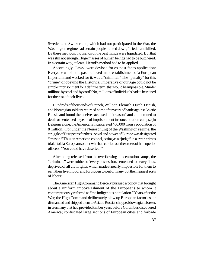Sweden and Switzerland, which had not participated in the War, the Washington regime had certain people hunted down, "tried," and killed. By these methods, thousands of the best minds were liquidated. But that was still not enough. Huge masses of human beings had to be butchered. In a certain way, at least, Herod's method had to be applied.

Accordingly, "laws" were devised for ex post facto application: Everyone who in the past believed in the establishment of a European Imperium, and worked for it, was a "criminal." The "penalty" for this "crime" of obeying the Historical Imperative of our Age could not be simple imprisonment for a definite term; that would be impossible. Murder millions by steel and by cord? No, millions of individuals had to be ruined for the rest of their lives.

Hundreds of thousands of French, Walloon, Flemish, Dutch, Danish, and Norwegian soldiers returned home after years of battle against Asiatic Russia and found themselves accused of "treason" and condemned to death or sentenced to years of imprisonment in concentration camps. (In Belgium alone, the Americans incarcerated 400,000 from a population of 8 million.) For under the Neuordnung of the Washington regime, the struggle of Europeans for the survival and power of Europe was designated "treason." Thus an American colonel, acting as a "judge" in a "war-crimes trial," told a European soldier who had carried out the orders of his superior officers: "You could have deserted! "

After being released from the overflowing concentration camps, the "criminals" were robbed of every possession, sentenced to heavy fines, deprived of all civil rights, which made it nearly impossible for them to earn their livelihood, and forbidden to perform any but the meanest sorts of labour.

The American High Command fiercely pursued a policy that brought about a uniform impoverishment of the Europeans to whom it contemptuously referred as "the indigenous population." Years after the War, the High Command deliberately blew up European factories, or dismantled and shipped them to Asiatic Russia; chopped down giant forests in Germany that had provided timber years before Columbus discovered America; confiscated large sections of European cities and forbade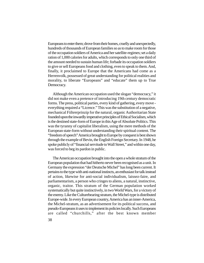Europeans to enter them; drove from their homes, cruelly and unexpectedly, hundreds of thousands of European families so as to make room for those of the occupation soldiers of America and her satellite-regimes; set a daily ration of 1,000 calories for adults, which corresponds to only one third of the amount needed to sustain human life; forbade its occupation soldiers to give or sell Europeans food and clothing, even to speak to them. And, finally, it proclaimed to Europe that the Americans had come as a Herrenvolk, possessed of great understanding for political realities and morality, to liberate "Europeans" and "educate" them up to True Democracy.

Although the American occupation used the slogan "democracy," it did not make even a pretence of introducing 19th century democratic forms. The press, political parties, every kind of gathering, every move everything required a "Licence." This was the substitution of a negative, mechanical Fiihrerprinzip for the natural, organic Authoritarian State founded upon the inwardly imperative principles of Ethical Socialism, which is the destined state-form of Europe in this Age of Absolute Politics. This was the tyranny of capitalist liberalism, using the mere methods of the European state-form without understanding their spiritual content. The "freedom of speech" America brought to Europe by conquest is best shown through the example of Bevin, the English Foreign Secretary. In 1948, he spoke publicly of "financial servitude to Wall Street," and within one day, was forced to beg its pardon in public.

The American occupation brought into the open a whole stratum of the European population that had hitherto never been recognised as a unit. In Germany the expression "der Deutsche Michel" has long been current. It pertains to the type with anti-national instincts, an enthusiast for talk instead of action, likewise for anti-social individualism, laissez-faire, and parliamentarism, a person who cringes to aliens, a natural, instinctive, organic, traitor. This stratum of the German population worked systematically but quite instinctively, in two World Wars, for a victory of the enemy. Like the Culturebearing stratum, the Michel-type is distributed Europe-wide. In every European country, America has an inner-America, the Michel-stratum, as an advertisement for its political success, and pseudo-Europeans it uses to implement its policies locally. Such Europeans are called "churchills," after the best known member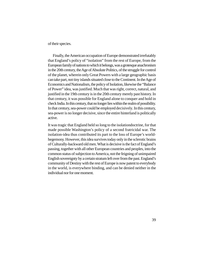### of their species.

Finally, the American occupation of Europe demonstrated irrefutably that England's policy of "isolation" from the rest of Europe, from the European family of nations to which it belongs, was a grotesque anachronism in the 20th century, the Age of Absolute Politics, of the struggle for control of the planet, wherein only Great Powers with a large geographic basis can take part, not tiny islands situated close to the Continent. In the Age of Economics and Nationalism, the policy of Isolation, likewise the "Balance of Power" idea, was justified. Much that was right, correct, natural, and justified in the 19th century is in the 20th century merely past history. In that century, it was possible for England alone to conquer and hold in check India. In this century, that no longer lies within the realm of possibility. In that century, sea-power could be employed decisively. In this century, sea-power is no longer decisive, since the entire hinterland is politically active.

It was tragic that England held so long to the isolationdoctrine, for that made possible Washington's policy of a second fratricidal war. The isolation-idea thus contributed its part to the loss of Europe's worldhegemony. However, this idea survives today only in the sclerotic brains of Culturally-backward old men. What is decisive is the fact of England's passing, together with all other European countries and peoples, into the common status of subjection to America, not the feigning of unimpaired English sovereignty by a certain stratum left over from the past. England's community of Destiny with the rest of Europe is now patent to everybody in the world, is everywhere binding, and can be denied neither in the individual nor for one moment.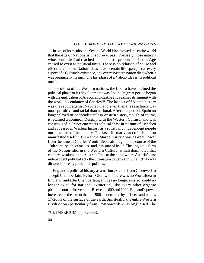#### *THE DEMISE OF THE WESTERN NATIONS*

In one of its results, the Second World War showed the entire world that the Age of Nationalism is forever past. Precisely those nations whose enmities had reached such fantastic proportions in that Age ceased to exist as political units. There is no relation of cause and effect here, for the Nation-Ideas have a certain life-span, just as every aspect of a Culture's existence, and every Western nation died when it was organically its turn. The last phase of a Nation-Idea is its political one.\*

The oldest of the Western nations, the first to have attained the political phase of its development, was Spain. Its great period began with the unification of Aragon and Castile and reached its summit with the world-ascendancy of Charles V. The last act of Spanish history was the revolt against Napoleon, and even then the resistance was more primitive and racial than national. After that period, Spain no longer played an independent role in Western history, though, of course, it retained a common Destiny with the Western Culture, and was conscious of it. France entered its political phase in the time of Richelieu and appeared in Western history as a spiritually independent people until the turn of the century. The last affirmative act of this nation manifested itself in 1914 at the Marne. Austria was a Great Power from the time of Charles V until 1900, although in the course of the 19th century it became less and less sure of itself. The linguistic form of the Nation-Idea in the Western Culture, which dominated that century, weakened the Austrian Idea to the point where Austria's last independent political act - the ultimatum to Serbia in June, 1914 - was dictated more by pride than politics.

England's political history as a nation extends from Cromwell to Joseph Chamberlain. Before Cromwell, there was no WorldIdea in England, and after Chamberlain, an Idea no longer existed, could no longer exist, for national extinction, like every other organic phenomenon, is irreversible. Between 1600 and 1900, England's power increased to the extent that in 1900 it controlled by its fleets and armies 17/20ths of the surface of the earth. Spiritually, the entire Western Civilisation - particularly from 1750 onwards - was Anglicised. The

\*Cf. IMPERIUM, pp. 328353.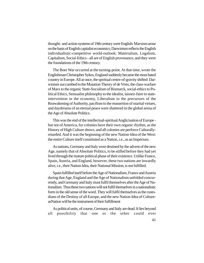thought- and action-systems of 19th century were English: Marxism arose on the basis of English capitalist economics; Darwinism reflects the English individualistic-competitive world-outlook; Materialism, Legalism, Capitalism, Social-Ethics - all are of English provenance, and they were the foundations of the 19th century.

The Boer War occurred at the turning-point. At that time, wrote the Englishman Christopher Sykes, England suddenly became the most hated country in Europe. All at once, the spiritual centre-of-gravity shifted: Darwinism succumbed to the Mutation Theory of de Vries, the class-warfare of Marx to the organic State-Socialism of Bismarck, social-ethics to Political Ethics, Sensualist philosophy to the idealist, laissez-faire to stateintervention in the economy, Liberalism to the precursors of the Reawakening of Authority, pacifism to the reassertion of martial virtues, and daydreams of an eternal peace were shattered in the global arena of the Age of Absolute Politics.

This was the end of the intellectual-spiritual Anglicisation of Europe but not of America, for colonies have their own organic rhythm, as the History of High Culture shows, and all colonies are perforce Culturallyretarded. And it was the beginning of the new Nation-Idea of the West: the entire Culture itself constituted as a Nation, i.e., as an Imperium.

As nations, Germany and Italy were destined by the advent of the new Age, namely that of Absolute Politics, to be stifled before they had yet lived through the mature political phase of their existence. Unlike France, Spain, Austria, and England, however, these two nations are inwardly alive, i.e., their Nation-Idea, their National Mission, is not fulfilled.

Spain fulfilled itself before the Age of Nationalism, France and Austria during that Age, England and the Age of Nationalism unfolded concurrently, and Germany and Italy must fulfil themselves after the Age of Nationalism. Thus these two nations will not fulfil themselves in a nationalistic form in the old sense of the word. They will fulfil themselves as the custodians of the Destiny of all Europe, and the new Nation-Idea of CultureasNation will be the instrument of their fulfillment

As political units, of course, Germany and Italy are dead. It lies beyond all possibility that one or the other could ever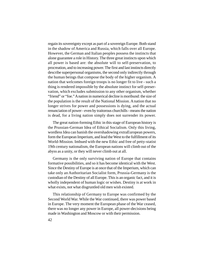regain its sovereignty except as part of a sovereign Europe. Both stand in the shadow of America and Russia, which falls over all Europe. However, the German and Italian peoples possess the instincts that alone guarantee a role in History. The three great instincts upon which all power is based are: the absolute will to self-preservation, to procreation, and to increasing power. The first and last instincts directly describe superpersonal organisms, the second only indirectly through the human beings that compose the body of the higher organism. A nation that welcomes foreign troops is no longer fit to live - such a thing is rendered impossible by the absolute instinct for self-preservation, which excludes submission to any other organism, whether "friend" or "foe." A nation in numerical decline is moribund: the size of the population is the result of the National Mission. A nation that no longer strives for power and possessions is dying, and the actual renunciation of power - even by traitorous churchills - means the nation is dead, for a living nation simply does not surrender its power.

The great nation-forming Ethic in this stage of European history is the Prussian-German Idea of Ethical Socialism. Only this living, wordless Idea can banish the overshadowing extraEuropean powers, form the European Imperium, and lead the West to the fulfillment of its World-Mission. Imbued with the new Ethic and free of petty-statist 19th century nationalism, the European nations will climb out of the abyss as a unity, or they will never climb out at all.

Germany is the only surviving nation of Europe that contains formative possibilities, and so it has become identical with the West. Since the Destiny of Europe is at once that of the Imperium, which can take only an Authoritarian Socialist form, Prussia-Germany is the custodian of the Destiny of all Europe. This is an organic fact, and it is wholly independent of human logic or wishes. Destiny is at work in what exists, not what disgruntled old men wish existed.

This relationship of Germany to Europe was confirmed by the Second World War. While the War continued, there was power based in Europe. The very moment the European phase of the War ceased, there was no longer any power in Europe, all power-decisions being made in Washington and Moscow or with their permission.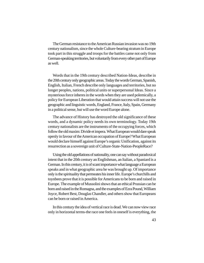The German resistance to the American Russian invasion was no 19th century nationalism, since the whole Culture-bearing stratum in Europe took part in this struggle and troops for the battles came not only from German-speaking territories, but voluntarily from every other part of Europe as well.

Words that in the 19th century described Nation-Ideas, describe in the 20th century only geographic areas. Today the words German, Spanish, English, Italian, French describe only languages and territories, but no longer peoples, nations, political units or superpersonal Ideas. Since a mysterious force inheres in the words when they are used polemically, a policy for European Liberation that would attain success will not use the geographic and linguistic words, England, France, Italy, Spain, Germany in a political sense, but will use the word Europe alone.

The advance of History has destroyed the old significance of these words, and a dynamic policy needs its own terminology. Today 19th century nationalists are the instruments of the occupying forces, which follow the old maxim: Divide et impera. What European would dare speak openly in favour of the American occupation of Europe? What European would declare himself against Europe's organic Unification, against its resurrection as a sovereign unit of Culture-State-Nation-PeopleRace?

Using the old appellations of nationality, one can say without paradoxical intent that in the 20th century an Englishman, an Italian, a Spaniard is a German. In this century, it is of scant importance what language a European speaks and in what geographic area he was brought up. Of importance only is the spirituality that permeates his inner life. Europe's churchills and toynbees prove that it is possible for Americans to be born and raised in Europe. The example of Mussolini shows that an ethical Prussian can be born and raised in the Romagna, and the examples of Ezra Pound, William Joyce, Robert Best, Douglas Chandler, and others show that Europeans can be born or raised in America.

In this century the idea of vertical race is dead. We can now view race only in horizontal terms-the race one feels in oneself is everything, the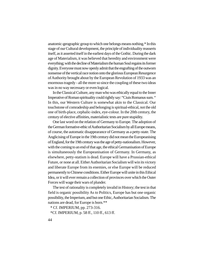anatomic-geographic group to which one belongs means nothing.\* In this stage of our Cultural development, the principle of individuality reasserts itself, as it asserted itself in the earliest days of the Gothic. During the dark age of Materialism, it was believed that heredity and environment were everything; with the decline of Materialism the human Soul regains its former dignity. Everyone must now openly admit that the engrafting of the outworn nonsense of the vertical race notion onto the glorious European Resurgence of Authority brought about by the European Revolution of 1933 was an enormous tragedy - all the more so since the coupling of these two ideas was in no way necessary or even logical.

In the Classical Culture, any man who was ethically equal to the Inner Imperative of Roman spirituality could rightly say: "Ciuis Romanus sum. " In this, our Western Culture is somewhat akin to the Classical. Our touchstone of comradeship and belonging is spiritual-ethical, not the old one of birth-place, cephalic-index, eye-colour. In the 20th century, the century of elective affinities, materialistic tests are pure stupidity.

One last word on the relation of Germany to Europe. The adoption of the German formative-ethic of Authoritarian Socialism by all Europe means, of course, the automatic disappearance of Germany as a petty-state. The Anglicising of Europe in the 19th century did not mean the Europeanising of England, for the 19th century was the age of petty-nationalism. However, with the coming to an end of that age, the ethical Germanisation of Europe is simultaneously the Europeanisation of Germany. In Germany, as elsewhere, petty-statism is dead. Europe will have a Prussian-ethical Future, or none at all. Either Authoritarian Socialism will win its victory and liberate Europe from its enemies, or else Europe will be reduced permanently to Chinese conditions. Either Europe will unite in this Ethical Idea, or it will ever remain a collection of provinces over which the Outer Forces will wage their wars of plunder.

The test of rationality is completely invalid in History; the test in that field is organic possibility As to Politics, Europe has but one organic possibility, the Imperium, and but one Ethic, Authoritarian Socialism. The nations are dead, for Europe is born.\*\*

\* Cf. IMPERIUM, pp. 273-316.

\*Cf. IMPERIUM, p. 58 ff., 110 ff., 613 ff.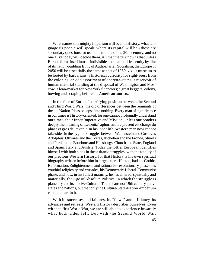What names this mighty Imperium will bear in History, what language its people will speak, where its capital will be - these are secondary questions for us in the middle of the 20th century, and no one alive today will decide them. All that matters now is that unless Europe forms itself into an indivisible national-political entity by dint of its nation-building Ethic of Authoritarian Socialism, the Europe of 2050 will be essentially the same as that of 1950, viz., a museum to be looted by barbarians; a historical curiosity for sight-seers from the colonies; an odd assortment of operetta-states; a reservoir of human material standing at the disposal of Washington and Moscow; a loan-market for New York financiers; a great beggars' colony, bowing and scraping before the American tourists.

In the face of Europe's terrifying position between the Second and Third World Wars, the old differences between the remnants of the old Nation-Ideas collapse into nothing. Every man of significance in our times is History-oriented, for one cannot profoundly understand our times, their Inner Imperative and Mission, unless one ponders deeply the meaning of Leibnitz' aphorism: Le present est charge du phase et gros de Pavenir. In his inner life, Western man now cannot take sides in the bygone struggles between Wallenstein and Gustavus Adolphus, Olivares and the Cortes, Richelieu and the Fronde, Stuarts and Parliament, Bourbons and Habsburgs, Church and State, England and Spain, Italy and Austria. Today the loftier European identifies himself with both sides in these titanic struggles, with the totality of our precious Western History, for that History is his own spiritual biography written before him in large letters. He, too, had his Gothic, Reformation, Enlightenment, and rationalist-revolutionary phase - his youthful religiosity and crusades, his Democratic-Liberal-Communist phase; and now, in his fullest maturity, he has entered, spiritually and materially, the Age of Absolute Politics, in which the struggle is planetary and its motive Cultural. That means not 19th century pettystates and nations, but that only the Culture-State-Nation -Imperium can take part in it.

With its successes and failures, its "flaws" and brilliancy, its advances and retreats, Western History describes ourselves. Even with the first World War, we are still able to experience inwardly what both sides felt. But with the Second World War,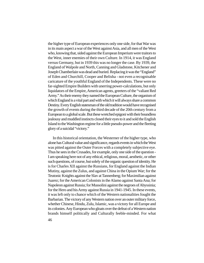the higher type of European experiences only one side, for that War was in its main aspect a war of the West against Asia, and all men of the West who, knowing that, sided against the European Imperium were traitors to the West, inner enemies of their own Culture. In 1914, it was England versus Germany, but in 1939 this was no longer the case. By 1939, the England of Walpole and North, Canning and Gladstone, Kitchener and Joseph Chamberlain was dead and buried. Replacing it was the "England" of Eden and Churchill, Cooper and Belisha - not even a recognisable caricature of the youthful England of the Independents. These were no far-sighted Empire Builders with unerring power-calculations, but only liquidators of the Empire, American agents, greeters of the "valiant Red Army." As their enemy they named the European Culture, the organism of which England is a vital part and with which it will always share a common Destiny. Every English statesman of the old tradition would have recognised the growth of events during the third decade of the 20th century from a European to a global scale. But these wretched epigoni with their boundless jealousy and muddled instincts closed their eyes to it and sold the English Island to the Washington regime for a little pseudo-power and the fleeting glory of a suicidal "victory."

In this historical orientation, the Westerner of the higher type, who alone has Cultural value and significance, regards events in which the West was pitted against the Outer Forces with a completely subjective eye. Thus he sees in the Crusades, for example, only one side of the question - I am speaking here not of any ethical, religious, moral, aesthetic, or other such questions, of course, but solely of the organic question of identity. He is for Charles XII against the Russians, for England against the Indian Mutiny, against the Zulus, and against China in the Opium War; for the Teutonic Knights against the Slav at Tannenberg; for Maximilian against Juarez; for the American Colonists in the Alamo against Santa Ana; for Napoleon against Russia; for Mussolini against the negroes of Abyssinia; for the Hero and his Army against Russia in 1941-1945. In these events, it was left only to chance which of the Western nationalities fought the Barbarian. The victory of any Western nation over an outer military force, whether Chinese, Hindu, Zulu, Islamic, was a victory for all Europe and its colonies. Any European who gloats over the defeat of a Western nation brands himself politically and Culturally feeble-minded. For what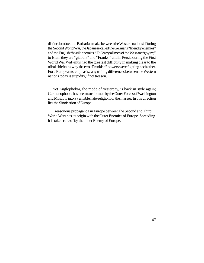distinction does the Barbarian make between the Western nations? During the Second World War, the Japanese called the Germans "friendly enemies" and the English "hostile enemies." To Jewry all men of the West are "goyim;" to Islam they are "giaours" and "Franks," and in Persia during the First World War Wal~mus had the greatest difficulty in making clear to the tribal chieftains why the two "Frankish" powers were fighting each other. For a European to emphasise any trifling differences between the Western nations today is stupidity, if not treason.

Yet Anglophobia, the mode of yesterday, is back in style again; Germanophobia has been transformed by the Outer Forces of Washington and Moscow into a veritable hate-religion for the masses. In this direction lies the Sinoisation of Europe.

Treasonous propaganda in Europe between the Second and Third World Wars has its origin with the Outer Enemies of Europe. Spreading it is taken care of by the Inner Enemy of Europe.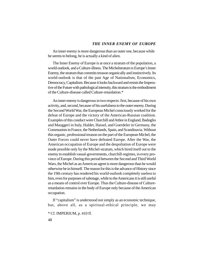#### *THE INNER ENEMY OF EUROPE*

An inner enemy is more dangerous than an outer one, because while he seems to belong, he is actually a kind of alien.

The Inner Enemy of Europe is at once a stratum of the population, a world-outlook, and a Culture-illness. The Michelstratum is Europe's Inner Enemy, the stratum that commits treason organically and instinctively. Its world-outlook is that of the past Age of Nationalism, Economics, Democracy, Capitalism. Because it looks backward and resists the Imperative of the Future with pathological intensity, this stratum is the embodiment of the Culture-disease called Culture-retardation.\*

An inner enemy is dangerous in two respects: first, because of his own activity, and, second, because of his usefulness to the outer enemy. During the Second World War, the European Michel consciously worked for the defeat of Europe and the victory of the American-Russian coalition. Examples of this conduct were Churchill and Attlee in England, Badoglio and Mauggeri in Italy, Halder, Hassel, and Goerdeler in Germany, the Communists in France, the Netherlands, Spain, and Scandinavia. Without this organic, professional treason on the part of the European Michel, the Outer Forces could never have defeated Europe. After the War, the American occupation of Europe and the despoliation of Europe were made possible only by the Michel-stratum, which hired itself out to the enemy to establish vassal-governments, churchill-regimes, in every province of Europe. During this period between the Second and Third World Wars, the Michel as an American agent is more dangerous than he would otherwise be in himself. The reason for this is the advance of History since the 19th century has rendered his world-outlook completely useless to him, even for purposes of sabotage, while to the Americans it is still useful as a means of control over Europe. Thus the Culture-disease of Cultureretardation remains in the body of Europe only because of the American occupation.

If "capitalism" is understood not simply as an economic technique, but, above all, as a spiritual-ethical principle, we may

\* Cf. IMPERIUM, p. 410 ff.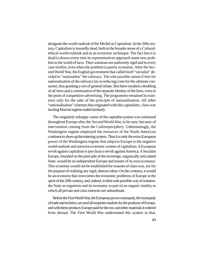designate the world-outlook of the Michel as Capitalism. In the 20th century, Capitalism is inwardly dead, both in the broader sense of a Culturalethical world-outlook and as an economic technique. The fact that it is dead is shown every time its representatives approach some new problem in the world of facts. Their solutions are uniformly rigid and in every case misfire, even when the problem is purely economic. After the Second World War, the English government that called itself "socialist" decided to "nationalise" the railways. The sole possible raison d'etre for nationalisation of the railways lay in reducing costs for the ultimate consumer, thus granting a sort of general rebate. But there resulted a doubling of all fares and a continuation of the separate identity of the lines, even to the point of competitive advertising. The programme remained in existence only for the sake of the principle of nationalisation. All other "nationalisation" schemes that originated with this capitalistic, class-war inciting Marxist regime ended similarly.

The singularly unhappy career of the capitalist system was continued throughout Europe after the Second World War, to be sure, because of intervention coming from the Cultureperiphery. Unhesitatingly, the Washington regime employed the resources of the North American continent to shore up the tottering system. Thus it is only the extra-European power of the Washington regime that subjects Europe to the negative world-outlook and outworn economic system of capitalism. A European revolt against capitalism is ipso facto a revolt against America. A Socialist Europe, founded on the principle of the sovereign, organically articulated State, would be an independent Europe and master of its own economy. This economy would not be established for reasons of class-war, nor for the purpose of realising any rigid, abstract ideas. On the contrary, it would be an economy that overcomes the economic problems of Europe in the spirit of the 20th century, and, indeed, in their sole possible way of solution: the State as organism and its economy as part of an organic totality to which all private and class interests are subordinate.

Before the First World War, the European power-monopoly, the monopoly of trade and technics, secured all requisite markets for the products of Europe, and with these products Europe paid for the raw and other materials it ordered from abroad. The First World War undermined this system in that,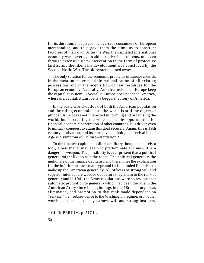for its duration, it deprived the overseas consumers of European merchandise, and thus gave them the stimulus to construct factories of their own. After the War, the capitalist international economy was never again able to solve its problems, not even through extensive state-intervention in the form of protective tariffs, and the like. This development was concluded by the Second World War. The old system passed away.

The only solution for the economic problems of Europe consists in the most intensive possible rationalisation of all existing possessions and in the acquisition of new resources for the European economy. Naturally, America insists that Europe keep the capitalist system. A Socialist Europe does not need America, whereas a capitalist Europe is a beggars' colony of America.

In the basic world-outlook of both the American population and the ruling economic caste the world is still the object of plunder. America is not interested in forming and organising the world, but in creating the widest possible opportunities for financial-economic penetration of other countries. It is driven even to military conquest to attain this goal securely. Again, this is 19th century motivation, and its corrosive, pathological revival in our Age is a symptom of Culture-retardation.\*

To the finance-capitalist politico-military thought is merely a tool, albeit that it may seem to predominate at times. It is a dangerous weapon. The possibility is ever present that a political general might like to rule the roost. The political general is the nightmare of the finance-capitalist, and therein lies the explanation for the inferior businessman-type and feebleminded liberals that make up the American generalcy. All officers of strong will and superior intellect are weeded out before they attain to the rank of general; and in 1941 the Army regulations were so revised that automatic promotion to general - which had been the rule in the American Army since its beginnings in the 18th century - was eliminated, and promotion to that rank made dependent on "service," i.e., subservience to the Washington regime, or in other words, on the lack of any earnest will and strong instincts.

\* Cf. IMPERIUM, p. 517 ff.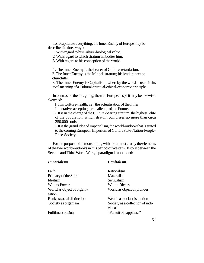To recapitulate everything: the Inner Enemy of Europe may be described in three ways:

1. With regard to his Culture-biological value.

2. With regard to which stratum embodies him.

3. With regard to his conception of the world.

1. The Inner Enemy is the bearer of Culture-retardation.

 2. The Inner Enemy is the Michel-stratum; his leaders are the churchills.

 3. The Inner Enemy is Capitalism, whereby the word is used in its total meaning of a Cultural-spiritual-ethical-economic principle.

In contrast to the foregoing, the true European spirit may be likewise sketched:

 1. It is Culture-health, i.e., the actualisation of the Inner Imperative, accepting the challenge of the Future.

 2. It is in the charge of the Culture-bearing stratum, the highest elite of the population, which stratum comprises no more than circa 250,000 souls.

 3. It is the grand Idea of Imperialism, the world-outlook that is suited to the coming European Imperium of CultureState-Nation-People-Race-Society.

For the purpose of demonstrating with the utmost clarity the elements of the two world-outlooks in this period of Western History between the Second and Third World Wars, a paradigm is appended:

#### *Imperialism Capitalism*

# Faith Rationalism Primacy of the Spirit Materialism Idealism Sensualism Will-to-Power Will-to-Riches World as object of organi- World as object of plunder sation Rank as social distinction Wealth as social distinction Society as organism Society as a collection of individuals Fulfilment of Duty "Pursuit of happiness"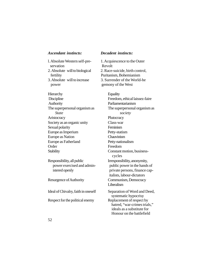servation Revolt fertility Puritanism, Bohemianism power gemony of the West

Hierarchy Equality Authority Parliamentarianism *State society* Aristocracy Plutocracy Society as an organic unity Class-war Sexual polarity Feminism Europe as Imperium Petty-statism Europe as Nation Chauvinism Europe as Fatherland Petty-nationalism Order Freedom Stability Constant motion, business-

Respect for the political enemy Replacement of respect by

# *Ascendant instincts: Decadent instincts:*

l. Absolute Western self-pre- 1. Acquiescence to the Outer 2. Absolute will to biological 2. Race-suicide, birth control, 3. Absolute will to increase 3. Surrender of the World-he

 Discipline Freedom, ethical laissez-faire The superpersonal organism as The superpersonal organism as cycles Responsibility, all public Irresponsibility, anonymity, power exercised and admin- public power in the hands of istered openly private persons, finance cap italists, labour-dictators Resurgence of Authority Communism, Democracy Liberalism Ideal of Chivalry, faith in oneself Separation of Word and Deed,

 systematic hypocrisy hatred, "war-crimes trials," ideals as a substitute for Honour on the battlefield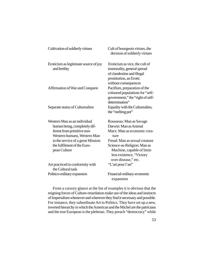| Cultivation of soldierly virtues                                                                                                                                                                               | Cult of bourgeois virtues, the<br>derision of soldierly virtues                                                                                                                                                                          |
|----------------------------------------------------------------------------------------------------------------------------------------------------------------------------------------------------------------|------------------------------------------------------------------------------------------------------------------------------------------------------------------------------------------------------------------------------------------|
| Eroticism as legitimate source of joy<br>and fertility                                                                                                                                                         | Eroticism as vice, the cult of<br>immorality, general spread<br>of clandestine and illegal<br>prostitution, an Erotic<br>without consequences                                                                                            |
| Affirmation of War and Conquest                                                                                                                                                                                | Pacifism, preparation of the<br>coloured populations for "self-<br>government," the "right of self-<br>determination"                                                                                                                    |
| Separate status of Culturealien                                                                                                                                                                                | Equality with the Culturealien,<br>the "melting pot"                                                                                                                                                                                     |
| Western Man as an individual<br>human being, completely dif-<br>ferent from primitive non-<br>Western humans, Western Man<br>in the service of a great Mission:<br>the fulfilment of the Euro-<br>pean Culture | Rousseau: Man as Savage<br>Darwin: Man as Animal<br>Marx: Man as economic crea-<br>ture<br>Freud: Man as sexual creature<br>Science-as-Religion: Man as<br>Machine, capable of limit-<br>less existence, "Victory<br>over disease," etc. |
| Art practiced in conformity with<br>the Cultural task                                                                                                                                                          | "L'art pour l'art"                                                                                                                                                                                                                       |
| Politico-military expansion                                                                                                                                                                                    | Financial-military-economic<br>expansion                                                                                                                                                                                                 |

From a cursory glance at the list of examples it is obvious that the reigning forces of Culture-retardation make use of the ideas and instincts of Imperialism whenever and wherever they find it necessary and possible. For instance, they subordinate Art to Politics. They have set up a new, inverted hierarchy in which the American and the Michel are the patricians and the true European is the plebeian. They preach "democracy" while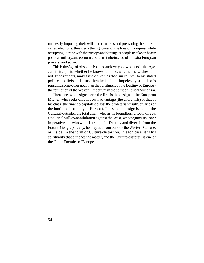ruthlessly imposing their will on the masses and pressuring them in socalled elections; they deny the rightness of the Idea of Conquest while occupying Europe with their troops and forcing its people to take on heavy political, military, and economic burdens in the interest of the extra-European powers, and so on.

This is the Age of Absolute Politics, and everyone who acts in this Age, acts in its spirit, whether he knows it or not, whether he wishes it or not. If he reflects, makes use of, values that run counter to his stated political beliefs and aims, then he is either hopelessly stupid or is pursuing some other goal than the fulfilment of the Destiny of Europe the formation of the Western Imperium in the spirit of Ethical Socialism.

There are two designs here: the first is the design of the European Michel, who seeks only his own advantage (the churchills) or that of his class (the finance-capitalist class; the proletarian usufructuaries of the looting of the body of Europe). The second design is that of the Cultural-outsider, the total alien, who in his boundless rancour directs a political will-to-annihilation against the West, who negates its Inner Imperative, who would strangle its Destiny and divert it from the Future. Geographically, he may act from outside the Western Culture, or inside, in the form of Culture-distortion. In each case, it is his spirituality that clinches the matter, and the Culture-distorter is one of the Outer Enemies of Europe.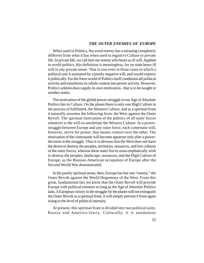# *THE OUTER ENEMIES OF EUROPE*

When used in Politics, the word enemy has a meaning completely different from what it has when used in regard to Culture or private life. In private life, we call him our enemy who bears us ill will. Applied to world politics, this definition is meaningless, for no state bears ill will in any private sense. That is true even in those cases in which a political unit is animated by a purely negative will, and would express it politically. For the form-world of Politics itself conditions all political activity and transforms its whole content into power activity. However, Politics seldom does supply its own motivation - that is to be sought in another realm.

The motivation of the global power-struggle in our Age of Absolute Politics lies in Culture. On the planet there is only one High Culture in the process of fulfilment, the Western Culture, and as a spiritual front it naturally assumes the following form: the West against the Outer Revolt. The spiritual motivation of the politics of all outer forces whatever is the will-to-annihilate the Western Culture. In a powerstruggle between Europe and any outer force, each contestant will, however, strive for power, that means control over the other. The motivation of the contestants will become apparent only after a powerdecision in the struggle. Thus it is obvious that the West does not have the desire to destroy the peoples, territories, resources, and low cultures of the outer forces, whereas these outer forces most emphatically wish to destroy the peoples, landscape, resources, and the High Culture of Europe, as the Russian-American occupation of Europe after the Second World War demonstrated.

In the purely spiritual sense, then, Europe has but one "enemy," the Outer Revolt against the World Hegemony of the West. From this great, fundamental fact we know that the Outer Revolt will provide Europe with political enemies so long as the Age of Absolute Politics lasts. A European victory in the struggle for the planet will not extinguish the Outer Revolt as a spiritual front; it will simply prevent it from again rising to the level of political intensity.

At present, this spiritual front is divided into two political units: Russia and America-Jewry. Culturally, it is anomalous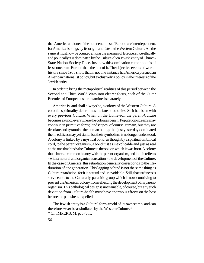that America and one of the outer enemies of Europe are interdependent, for America belongs by its origin and fate to the Western Culture. All the same, it must now be counted among the enemies of Europe, since ethically and politically it is dominated by the Culture-alien Jewish entity of Church-State-Nation-Society-Race. Just how this domination came about is of less concern to Europe than the fact of it. The objective events of worldhistory since 1933 show that in not one instance has America pursued an American nationalist policy, but exclusively a policy in the interests of the Jewish entity.

In order to bring the metapolitical realities of this period between the Second and Third World Wars into clearer focus, each of the Outer Enemies of Europe must be examined separately.

America is, and shall always be, a colony of the Western Culture. A colonial spirituality determines the fate of colonies. So it has been with every previous Culture. When on the Home-soil the parent-Culture becomes extinct, everywhere the colonies perish. Population-streams may continue in primitive form; landscapes, of course, remain, but they are desolate and tyrannise the human beings that just yesterday dominated them; edifices may yet stand, but their symbolism is no longer understood. A colony is linked by a mystical bond, as though by a spiritual umbilical cord, to the parent organism, a bond just as inexplicable and just as real as the one that binds the Culture to the soil on which it was born. A colony thus shares a common history with the parent-organism, and its life reflects - with a natural and organic retardation - the development of the Culture. In the case of America, this retardation generally corresponds to the lifeduration of one generation. This lagging behind is not the same thing as Culture-retardation, for it is natural and unavoidable. Still, that tardiness is serviceable to the Culturally-parasitic group which is now contriving to prevent the American colony from reflecting the development of its parentorganism. This pathological design is unattainable, of course, but any such deviation from Culture-health must have enormous effects on the host before the parasite is expelled.

The Jewish entity is a Cultural form-world of its own stamp, and can therefore *neve*r be assimilated by the Western Culture.\* \* Cf. IMPERIUM, p. 376 ff.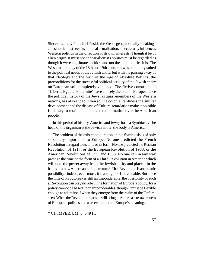Since this entity finds itself inside the West - geographically speaking and since it must seek its political actualisation, it necessarily influences Western politics in the direction of its own interests. Though it be of alien origin, it must not appear alien; its politics must be regarded as though it were legitimate politics, and not the alien politics it is. The Western ideology of the 18th and 19th centuries was admirably suited to the political needs of the Jewish entity, but with the passing away of that ideology and the birth of the Age of Absolute Politics, the preconditions for the successful political activity of the Jewish entity on European soil completely vanished. The fictive constructs of "Liberte, Egalite, Fraternite" have entirely died out in Europe; hence the political history of the Jews, as quasi-members of the Western nations, has also ended. Even so, the colonial tardiness in Cultural development and the disease of Culture-retardation make it possible for Jewry to retain its uncontested domination over the American people.

In this period of history, America and Jewry form a Symbiosis. The head of the organism is the Jewish entity, the body is America.

The problem of the existence-duration of this Symbiosis is of only secondary importance to Europe. No one predicted the French Revolution in regard to its time or its form. No one predicted the Russian Revolution of 1917, or the European Revolution of 1933, or the American Revolutions of 1775 and 1933. No one can in any way presage the time or the form of a Third Revolution in America which will take the power away from the Jewish entity and place it in the hands of a new American ruling-stratum.\* That Revolution is an organic possibility - indeed, even more: it is an organic Unavoidable. But since the time of its outbreak is still an Imponderable, the possibility of such a Revolution can play no role in the formation of Europe's policy, for a policy cannot be based upon Imponderables, though it must be flexible enough to adapt itself when they emerge from the realm of the Unforeseen. When the Revolution starts, it will bring in America a re-awareness of European politics and a re-evaluation of Europe's meaning.

\* Cf. IMPERIUM, p. 549 ff.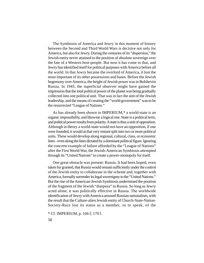The Symbiosis of America and Jewry in this moment of history between the Second and Third World Wars is decisive not only for America, but also for Jewry. During the centuries of its "dispersion," the Jewish entity never attained to the position of absolute sovereign over the fate of a Western host-people. But now it has come to that, and Jewry has identified itself for political purposes with America before all the world. In that Jewry became the overlord of America, it lost the most important of its other possessions and bases. Before the Jewish hegemony over America, the height of Jewish power was in Bolshevist Russia. In 1945, the superficial observer might have gained the impression that the total political power of the planet was being gradually collected into one political unit. That was in fact the aim of the Jewish leadership, and the means of creating the "world government" was to be the resurrected "League of Nations."

As has already been shown in IMPERIUM,\* a world-state is an organic impossibility, and likewise a logical one. State is a political term, and political power results from polarity. A state is thus a unit of opposition. Although in theory a world-state would not have an opposition, if one were founded, it would at that very instant split into two or more political units. These would develop along regional, cultural, class, or economic lines - even along the lines dictated by a dominant political figure. Ignoring the concrete example of failure afforded by the "League of Nations" after the First World War, the Jewish-American Symbiosis attempted through its "United Nations" to create a power-monopoly for itself.

One great obstacle was present: Russia. It had been hoped, even taken for granted, that Russia would remain sufficiently under the control of the Jewish entity to collaborate in the scheme and, together with America, formally surrender its legal sovereignty to the "United Nations." But the rise of the American-Jewish Symbiosis undermined the position of the fragment of the Jewish "diaspora" in Russia. So long as Jewry acted alone, it was politically effective in Russia. The worldwide identification of Jewry with America aroused Russian nationalism, with the result that the Culture-alien Jewish entity of Church-State-Nation-Society-Race lost its status as a member, so to speak, of the

\* Cf. IMPERIUM, p. 166 f; 170 f.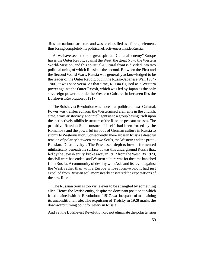Russian national structure and was re-classified as a foreign element, thus losing completely its political effectiveness inside Russia.

As we have seen, the sole great spiritual-Cultural "enemy" Europe has is the Outer Revolt, against the West, the great No to the Western World-Mission, and this spiritual-Cultural front is divided into two political units, of which Russia is the second. Between the First and the Second World Wars, Russia was generally acknowledged to be the leader of the Outer Revolt, but in the Russo-Japanese War, 1904- 1906, it was vice versa. At that time, Russia figured as a Western power against the Outer Revolt, which was led by Japan as the only sovereign power outside the Western Culture. In between lies the Bolshevist Revolution of 1917.

The Bolshevist Revolution was more than political; it was Cultural. Power was tranferred from the Westernised elements in the church, state, army, aristocracy, and intelligentsia to a group basing itself upon the instinctively nihilistic stratum of the Russian peasant masses. The primitive Russian Soul, unsure of itself, had been forced by the Romanovs and the powerful inroads of German culture in Russia to submit to Westernisation. Consequently, there arose in Russia a dreadful tension of polarity between the two Souls, the Western and the proto-Russian. Dostoievsky's The Possessed depicts how it fermented nihilistically beneath the surface. It was this underground Russia that, led by the Jewish entity, broke away in 1917 from the West. By 1923, the civil wars had ended, and Western culture was for the time banished from Russia. A community of destiny with Asia and its revolt against the West, rather than with a Europe whose form-world it had just expelled from Russian soil, more nearly answered the expectations of the new Russia.

The Russian Soul is too virile ever to be strangled by something alien. Hence the Jewish entity, despite the dominant position to which it had attained with the Revolution of 1917, was incapable of maintaining its unconditional rule. The expulsion of Trotsky in 1928 marks the downward turning point for Jewry in Russia.

And yet the Bolshevist Revolution did not eliminate the polar tension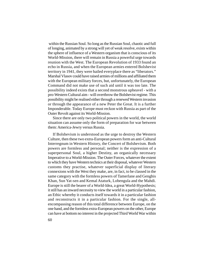within the Russian Soul. So long as the Russian Soul, chaotic and full of longing, animated by a strong will yet of weak resolve, exists within the sphere of influence of a Western organism that is conscious of its World-Mission, there will remain in Russia a powerful urge towards reunion with the West. The European Revolution of 1933 found an echo in Russia, and when the European armies entered Bolshevist territory in 1941, they were hailed everyplace there as "liberators." Marshal Vlasov could have raised armies of millions and affiliated them with the European military forces, but, unfortunately, the European Command did not make use of such aid until it was too late. The possibility indeed exists that a second monstrous upheavel - with a pro-Western Cultural aim - will overthrow the Bolshevist regime. This possibility might be realised either through a renewed Western invasion or through the appearance of a new Peter the Great. It is a further Imponderable. Today Europe must reckon with Russia as part of the Outer Revolt against its World-Mission.

Since there are only two political powers in the world, the world situation can assume only the form of preparation for war between them: America-Jewry versus Russia.

If Bolshevism is understood as the urge to destroy the Western Culture, then these two extra-European powers form an anti-Cultural Interregnum in Western History, the Concert of Bolshevism. Both powers are formless and personal; neither is the expression of a superpersonal Soul, a higher Destiny, an organically necessary Imperative to a World-Mission. The Outer Forces, whatever the extent to which they have Western technics at their disposal, whatever Western customs they practise, whatever superficial display of literary connexions with the West they make, are, in fact, to be classed in the same category with the formless powers of Tamerlane and Genghis Khan, Sun Yat-sen and Kemal Ataturk, Lobengula and the Mahdi. Europe is still the bearer of a World-Idea, a great World-Hypothesis; it still has an inward necessity to view the world in a particular fashion, an Ethic whereby it conducts itself towards it in a particular fashion and reconstructs it in a particular fashion. For the single, allencompassing reason of this total difference between Europe, on the one hand, and the formless extra-European powers on the other, Europe can have at bottom no interest in the projected Third World War within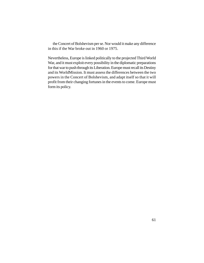the Concert of Bolshevism per se. Nor would it make any difference in this if the War broke out in 1960 or 1975.

Nevertheless, Europe is linked politically to the projected Third World War, and it must exploit every possibility in the diplomatic preparations for that war to push through its Liberation. Europe must recall its Destiny and its WorldMission. It must assess the differences between the two powers in the Concert of Bolshevism, and adapt itself so that it will profit from their changing fortunes in the events to come. Europe must form its policy.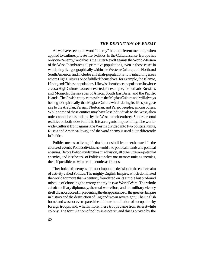# *THE DEFINITION OF ENEMY*

As we have seen, the word "enemy" has a different meaning when applied to Culture, private life, Politics. In the Cultural sense, Europe has only one "enemy," and that is the Outer Revolt against the World-Mission of the West. It embraces all primitive populations, even in those cases in which they live geographically within the Western Culture, as in North and South America, and includes all fellah-populations now inhabiting areas where High Cultures once fulfilled themselves, for example, the Islamic, Hindu, and Chinese populations. Likewise it embraces populations in whose areas a High Culture has never existed, for example, the barbaric Russians and Mongols, the savages of Africa, South East Asia, and the Pacific islands. The Jewish entity comes from the Magian Culture and will always belong to it spiritually, that Magian Culture which during its life-span gave rise to the Arabian, Persian, Nestorian, and Parsic peoples, among others. While some of these entities may have lost individuals to the West, alien units cannot be assimilated by the West in their entirety. Superpersonal realities on both sides forbid it. It is an organic impossibility. The worldwide Cultural front against the West is divided into two political units, Russia and America-Jewry, and the word enemy is used quite differently in Politics.

Politics means so living life that its possibilities are exhausted. In the course of events, Politics divides its world into political friends and political enemies. Before Politics undertakes this division, all outer units are potential enemies, and it is the task of Politics to select one or more units as enemies, then, if possible, to win the other units as friends.

The choice of enemy is the most important decision in the entire realm of activity called Politics. The mighty English Empire, which dominated the world for more than a century, foundered on its simple but profound mistake of choosing the wrong enemy in two World Wars. The whole adroit ancillary diplomacy, the total war-effort, and the military victory itself did not succeed in preventing the disappearance of the greatest Empire in history and the destruction of England's own sovereignty. The English homeland was not even spared the ultimate humiliation of occupation by foreign troops, and, what is more, these troops came from its erstwhile colony. The formulation of policy is esoteric, and this is proved by the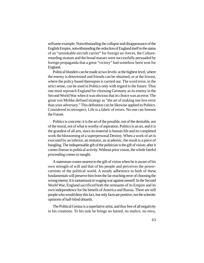selfsame example: Notwithstanding the collapse and disappearance of the English Empire, notwithstanding the reduction of England itself to the status of an "unsinkable aircraft carrier" for foreign air-forces, the Cultureretarding stratum and the broad masses were successfully persuaded by foreign propaganda that a great "victory" had somehow been won for England.

Political blunders can be made at two levels: at the highest level, where the enemy is determined and friends can be obtained, or at the lowest, where the policy based thereupon is carried out. The word error, in the strict sense, can be used in Politics only with regard to the future. Thus one must reproach England for choosing Germany as its enemy in the Second World War when it was obvious that its choice was an error. The great von Moltke defined strategy as "the art of making one less error than your adversary." This definition can be likewise applied to Politics. Considered in retrospect, Life is a fabric of errors. No one can foresee the Future.

Politics is concrete; it is the art of the possible, not of the desirable, not of the moral, not of what is worthy of aspiration. Politics is an art, and it is the grandest of all arts, since its material is human life and its completed work the blossoming of a superpersonal Destiny. When a work of art is executed by an inferior, an imitator, an academic, the result is a piece of bungling. The indispensable gift of the politician is the gift of vision; after it comes finesse in political activity. Without prior vision, the whole fateful proceeding comes to naught.

A statesman comes nearest to the gift of vision when he is aware of his own strength of will and that of his people and perceives the powercurrents of the political world. A steady adherence to both of these fundamentals will preserve him from the far-reaching error of choosing the wrong enemy. It is tantamount to waging war against oneself. In the Second World War, England sacrificed both the remnants of its Empire and its own independence for the benefit of America and Russia. There are still people who would deny this fact, but only facts are positive, not the sclerotic opinions of half-blind dotards.

The Political Genius is a superlative artist, and thus free of all negativity in his creations. To his task he brings no hatred, no malice, no envy,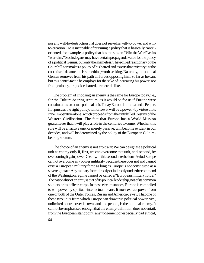nor any will-to-destruction that does not serve his will-to-power and willto-creation. He is incapable of pursuing a policy that is basically "anti" oriented, for example, a policy that has the slogan "Win the War!" as its "war-aim." Such slogans may have certain propaganda value for the policy of a political Genius, but only the shamelessly hate-filled reactionary of the Churchill sort makes a policy of his hatred and asserts that "victory" at the cost of self-destruction is something worth seeking. Naturally, the political Genius removes from his path all forces opposing him, so far as he can; but this "anti"-tactic he employs for the sake of increasing his power, not from jealousy, prejudice, hatred, or mere dislike.

The problem of choosing an enemy is the same for Europe today, i.e., for the Culture-bearing stratum, as it would be for us if Europe were constituted as an actual political unit. Today Europe is an area and a People. If it pursues the right policy. tomorrow it will be a power - by virtue of its Inner Imperative alone, which proceeds from the unfulfilled Destiny of the Western Civilisation. The fact that Europe has a World-Mission guaranteees that it will play a role in the centuries to come. Whether this role will be an active one, or merely passive, will become evident in our decades, and will be determined by the policy of the European Culturebearing stratum.

The choice of an enemy is not arbitrary: We can designate a political unit as enemy only if, first, we can overcome that unit, and, second, by overcoming it gain power. Clearly, in this second Interbellum-Period Europe cannot overcome any power militarily because there does not and cannot exist a European military force as long as Europe is not constituted as a sovereign state. Any military force directly or indirectly under the command of the Washington regime cannot be called a "European military force." The nationality of an army is that of its political leadership, not of its common soldiers or its officer-corps. In these circumstances, Europe is compelled to win power by spiritual-intellectual means. It must extract power from one or both of the Outer Forces, Russia and America-Jewry. That one of these two units from which Europe can draw true political power, viz., unlimited control over its own land and people, is the political enemy. It cannot be emphasised enough that the enemy-definition does not entail, from the European standpoint, any judgement of especially bad ethical,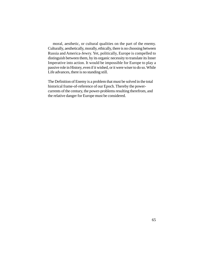Culturally, aesthetically, morally, ethically, there is no choosing between Life advances, there is no standing still. Russia and America-Jewry. Yet, politically, Europe is compelled to distinguish between them, by its organic necessity to translate its Inner Imperative into action. It would be impossible for Europe to play a passive role in History, even if it wished, or it were wiser to do so. While moral, aesthetic, or cultural qualities on the part of the enemy.

The Definition of Enemy is a problem that must be solved in the total historical frame-of-reference of our Epoch. Thereby the powercurrents of the century, the power-problems resulting therefrom, and the relative danger for Europe must be considered.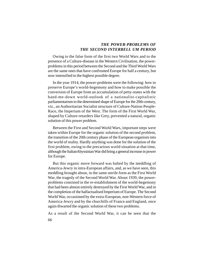# *THE POWER-PROBLEMS OF THE SECOND INTERBELL UM PERIOD*

Owing to the false form of the first two World Wars and to the presence of a Culture-disease in the Western Civilisation, the powerproblems in this period between the Second and the Third World Wars are the same ones that have confronted Europe for half a century, but now intensified to the highest possible degree.

In the year 1914, the power-problems were the following: how to preserve Europe's world-hegemony and how to make possible the conversion of Europe from an accumulation of petty-states with the hand-me-down world-outlook of a nationalist-capitalistic parliamentarism to the determined shape of Europe for the 20th century, viz., an Authoritarian Socialist structure of Culture-Nation-People-Race, the Imperium of the West. The form of the First World War, shaped by Culture-retarders like Grey, prevented a natural, organic solution of this power problem.

Between the First and Second World Wars, important steps were taken within Europe for the organic solution of the second problem, the transition of the 20th century phase of the European organism into the world of reality. Hardly anything was done for the solution of the first problem, owing to the precarious world situation at that time, although the ItalianAbyssinian War did bring a general increase in power for Europe.

But this organic move forward was halted by the meddling of America-Jewry in intra-European affairs, and, as we have seen, this meddling brought about, in the same sterile form as the First World War, the tragedy of the Second World War. About 1939, the powerproblems consisted in the re-establishment of the world-hegemony that had been almost entirely destroyed by the First World War, and in the completion of the halfactualised Imperium of Europe. The Second World War, occasioned by the extra-European, non-Western force of America-Jewry and by the churchills of France and England, once again thwarted the organic solution of these two problems.

As a result of the Second World War, it can be seen that the 66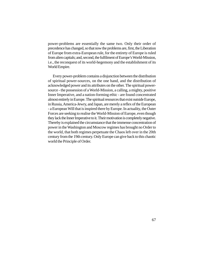power-problems are essentially the same two. Only their order of precedence has changed, so that now the problems are, first, the Liberation of Europe from extra-European rule, for the entirety of Europe is ruled from alien capitals; and, second, the fulfilment of Europe's World-Mission, i.e., the reconquest of its world-hegemony and the establishment of its World Empire.

Every power-problem contains a disjunction between the distribution of spiritual power-sources, on the one hand, and the distribution of acknowledged power and its attributes on the other. The spiritual powersource - the possession of a World-Mission, a calling, a mighty, positive Inner Imperative, and a nation-forming ethic - are found concentrated almost entirely in Europe. The spiritual resources that exist outside Europe, in Russia, America-Jewry, and Japan, are merely a reflex of the European - a European Will that is inspired there by Europe. In actuality, the Outer Forces are seeking to realise the World-Mission of Europe, even though they lack the Inner Imperative to it. Their motivation is completely negative. Thereby is explained the circumstance that the immense concentration of power in the Washington and Moscow regimes has brought no Order to the world, that both regimes perpetuate the Chaos left over in the 20th century from the 19th century. Only Europe can give back to this chaotic world the Principle of Order.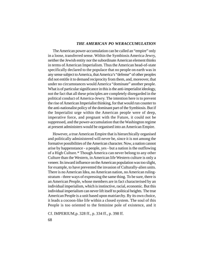### *THE AMERICAN PO WERACCUMULATION*

The American power-accumulation can be called an "empire" only in a loose, transferred sense. Within the Symbiosis America-Jewry, neither the Jewish entity nor the subordinate American element thinks in terms of American Imperialism. Thus the American head-of-state specifically declared to the populace that no people on earth was in any sense subject to America, that America's "defense" of other peoples did not entitle it to demand reciprocity from them, and, moreover, that under no circumstances would America "dominate" another people. What is of particular significance in this is the anti-imperialist ideology, not the fact that all these principles are completely disregarded in the political conduct of America-Jewry. The intention here is to prevent the rise of American Imperialist thinking, for that would run counter to the anti-nationalist policy of the dominant part of the Symbiosis. But if the Imperialist urge within the American people were of deep, imperative force, and pregnant with the Future, it could not be suppressed, and the power-accumulation that the Washington regime at present administers would be organised into an American Empire.

However, a true American Empire that is hierarchically organised and politically administered will never be, since it is not among the formative possibilities of the American character. Now, a nation cannot arise by happenstance - a people, yes - but a nation is the outflowing of a High Culture.\* Though America can never belong to any other Culture than the Western, in American life Western culture is only a veneer. Its inward influence on the American population was too slight, for example, to have prevented the invasion of Culturally-alien units. There is no American Idea, no American nation, no American rulingstratum - three ways of expressing the same thing. To be sure, there is an American People, whose members are in fact characterised by an individual imperialism, which is instinctive, racial, economic. But this individual imperialism can never lift itself to political heights. The true American People is a unit based upon matriarchy. By its own choice, it leads a cocoon-like life within a closed system. The soul of this People is too oriented to the feminine pole of existence, and it

Cf. IMPERIUM,p. 328 ff., p. 334 ff., p. 398 ff.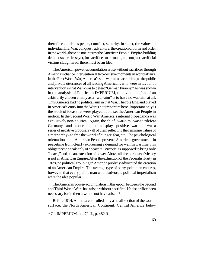therefore cherishes peace, comfort, security, in short, the values of individual life. War, conquest, adventure, the creation of form and order in the world - these do not interest the American People. Empire-building demands sacrifices; yet, for sacrifices to be made, and not just sacrificial victims slaughtered, there must be an Idea.

The American power-accumulation arose without sacrifices through America's chance intervention at two decisive moments in world affairs. In the First World War, America's sole war-aim - according to the public and private utterances of all leading Americans who were in favour of intervention in that War - was to defeat "German tyranny." As was shown in the analysis of Politics in IMPERIUM, to have the defeat of an arbitrarily chosen enemy as a "war-aim" is to have no war-aim at all. Thus America had no political aim in that War. The role England played in America's entry into the War is not important here. Important only is the stock of ideas that were played out to set the American People in motion. In the Second World War, America's internal propaganda was exclusively non-political. Again, the chief "war-aim" was to "defeat Germany," and the one attempt to display a positive "war-aim" was a series of negative proposals - all of them reflecting the feminine values of a matriarchy - to free the world of hunger, fear, etc. The psychological orientation of the American People prevents American governments in peacetime from clearly expressing a demand for war. In wartime, it is obligatory to speak only of "peace." "Victory" is supposed to bring only "peace," and not an extension of power. Above all, the purpose of victory is not an American Empire. After the extinction of the Federalist Party in 1828, no political grouping in America publicly advocated the creation of an American Empire. The average type of party-politician ensures, however, that every public man would advocate political imperialism were the idea popular.

The American power-accumulation in this epoch between the Second and Third World Wars has arisen without sacrifice. Had sacrifice been necessary for it, then it would not have arisen.\*

Before 1914, America controlled only a small section of the worldsurface: the North American Continent, Central America below

\* Cf. IMPERIUM, p. 472 ff., p. 482 ff.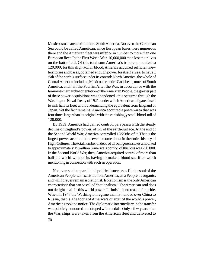Mexico, small areas of northern South America. Not even the Caribbean Sea could be called American, since European bases were numerous there and the American fleet was inferior in number to more than one European fleet. In the First World War, 10,000,000 men lost their lives on the battlefield. Of this total sum America's tribute amounted to 120,000; for this slight toll in blood, America acquired sufficient new territories and bases, obtained enough power for itself at sea, to have 1 /5th of the earth's surface under its control: North America, the whole of Central America, including Mexico, the entire Caribbean, much of South America, and half the Pacific. After the War, in accordance with the feminine-matriarchal orientation of the American People, the greater part of these power-acquisitions was abandoned - this occurred through the Washington Naval Treaty of 1921, under which America obligated itself to sink half its fleet without demanding the equivalent from England or Japan. Yet the fact remains: America acquired a power-area that was four times larger than its original with the vanishingly small blood-toll of 120,000.

By 1939, America had gained control, pari passu with the steady decline of England's power, of 1/5 of the earth-surface. At the end of the Second World War, America controlled 18/20ths of it. That is the largest power-accumulation ever to come about in the entire history of High-Cultures. The total number of dead of all belligerent states amounted to approximately 15 million. America's portion of this loss was 250,000. In the Second World War, then, America acquired control of more than half the world without its having to make a blood sacrifice worth mentioning in connexion with such an operation.

Not even such unparalleled political successes fill the soul of the American People with satisfaction. America, as a People, is organic, and will forever remain isolationist. Isolationism is the only American characteristic that can be called "nationalism." The American soul does not delight at all in this world power. It finds in it no reason for pride. When in 1947 the Washington regime calmly handed over China to Russia, that is, the focus of America's quarter of the world's power, Americans took no notice. The diplomatic intermediary in the transfer was publicly honoured and draped with medals. Only a few years after the War, ships were taken from the American fleet and delivered to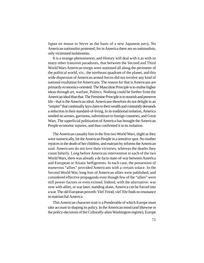Japan en masse to Serve as the basis of a new Japanese navy. No American nationalist protested, for in America there are no nationalists, only victimised isolationists.

It is a strange phenomenon, and History will deal with it as with so many other transient paradoxes, that between the Second and Third World Wars American troops were stationed all along the perimeter of the political world, viz., the northeast quadrant of the planet, and this wide dispersion of American armed forces did not involve any kind of national exultation for Americans. The reason for that is Americans are primarily economics-oriented. The Masculine Principle is to realise higher ideas through art, warfare, Politics. Nothing could be further from the American ideal than that. The Feminine Principle is to nourish and preserve life - that is the American ideal. Americans therefore do not delight in an "empire" that continually lays claim to their wealth and constantly demands a reduction in their standard-of-living. In its traditional isolation, America needed no armies, garrisons, subventions to foreign countries, and Great Wars. The superficial politisation of America has brought the American People economic injuries, and thus confirmed it in its isolation.

The American casualty lists in the first two World Wars, slight as they were numerically, hit the American People in a sensitive spot. No mother rejoices in the death of her children, and matriarchy informs the American soul. Americans do not love their victories, whereas the deaths they count bitterly. Long before American intervention in each of the two World Wars, there was already a de facto state-of-war between America and European or Asiatic belligerents. In each case, the possession of numerous "allies" provided Americans with a certain solace. In the Second World War, long lists of American allies were published, and considered effective propaganda even though few of the "allies" were still power-factors or even existed. Indeed, with the alternative: war now with allies, or war later, standing alone, America can be forced into a war. The old European proverb: Viel' Feind, viel' Ehr finds no resonance in matriarchal America.

This American character-trait is a Ponderable of which Europe must take account in shaping its policy. In the American mind (and likewise in the policy-decisions of the Culturally-alien Washington regime), Europe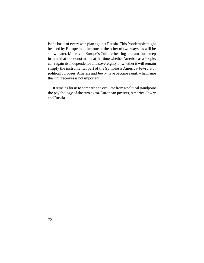is the basis of every war-plan against Russia. This Ponderable might be used by Europe in either one or the other of two ways, as will be shown later. Moreover, Europe's Culture-bearing stratum must keep in mind that it does not matter at this time whether America, as a People, can regain its independence and sovereignty or whether it will remain simply the instrumental part of the Symbiosis America-Jewry. For political purposes, America and Jewry have become a unit; what name this unit receives is not important.

It remains for us to compare and evaluate from a political standpoint the psychology of the two extra-European powers, America-Jewry and Russia.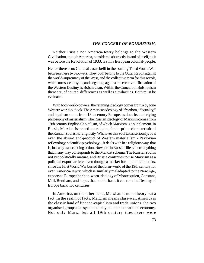## *THE CONCERT OF BOLSHEVISM,*

Neither Russia nor America-Jewry belongs to the Western Civilisation, though America, considered abstractly in and of itself, as it was before the Revolution of 1933, is still a European colonial-people.

Hence there is no Cultural casus belli in the coming Third World War between these two powers. They both belong to the Outer Revolt against the world-supremacy of the West, and the collective term for this revolt, which turns, destroying and negating, against the creative affirmation of the Western Destiny, is Bolshevism. Within the Concert of Bolshevism there are, of course, differences as well as similarities. Both must be evaluated.

With both world-powers, the reigning ideology comes from a bygone Western world-outlook. The American ideology of "freedom," "equality," and legalism stems from 18th century Europe, as does its underlying philosophy of materialism. The Russian ideology of Marxism comes from 19th century English Capitalism, of which Marxism is a supplement. In Russia, Marxism is treated as a religion, for the prime characteristic of the Russian soul is its religiosity. Whatever this soul takes seriously, be it even the absurd end-product of Western materialism - Pavlovian reflexology, scientific psychology -, it deals with in a religious way, that is, in a way transcending action. Nowhere in Russian life is there anything that in any way corresponds to the Marxist schema. The Russian soul is not yet politically mature, and Russia continues to use Marxism as a political export article, even though a market for it no longer exists, since the First World War buried the form-world of the 19th century for ever. America-Jewry, which is similarly maladapted to the New Age, exports to Europe the shop-worn ideology of Montesquieu, Constant, Mill, Bentham, and hopes that on this basis it can turn the Destiny of Europe back two centuries.

In America, on the other hand, Marxism is not a theory but a fact. In the realm of facts, Marxism means class-war. America is the classic land of finance-capitalism and trade unions, the two organised groups that systematically plunder the national economy. Not only Marx, but all 19th century theorisers were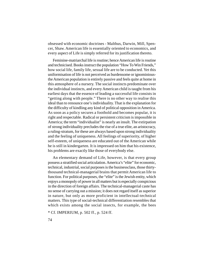obsessed with economic doctrines - Malthus, Darwin, Mill, Spencer, Shaw. American life is essentially oriented to economics, and every aspect of Life is simply referred for its justification thereto.

Feminine-matriarchal life is routine; hence American life is routine and technicised. Books instruct the population "How To Win Friends," how social life, family life, sexual life are to be conducted. Yet this uniformisation of life is not perceived as burdensome or ignominiousthe American population is entirely passive and feels quite at home in this atmosphere of a nursery. The social instincts predominate over the individual instincts, and every American child is taught from his earliest days that the essence of leading a successful life consists in "getting along with people." There is no other way to realise this ideal than to renounce one's individuality. That is the explanation for the difficulty of kindling any kind of political opposition in America. As soon as a policy secures a foothold and becomes popular, it is right and respectable. Radical or persistent criticism is impossible in America; the term "individualist" is nearly an insult. The extirpation of strong individuality precludes the rise of a true elite, an aristocracy, a ruling-stratum, for these are always based upon strong individuality and the feeling of uniqueness. All feelings of superiority, of higher self-esteem, of uniqueness are educated out of the American while he is still in kindergarten. It is impressed on him that his existence, his problems are exactly like those of everybody else.

An elementary demand of Life, however, is that every group possess a stratified social articulation. America's "elite" for economic, technical, industrial, social purposes is the businessclass, those thirtythousand technical-managerial brains that permit American life to function. For political purposes, the "elite" is the Jewish entity, which enjoys a monopoly of power in all matters but is especially conspicious in the direction of foreign affairs. The technical-managerial caste has no sense of carrying out a mission; it does not regard itself as superior in nature, but only as more proficient in intellectual-technical matters. This type of social-technical differentiation resembles that which exists among the social insects, for example, the bees

\* Cf. IMPERIUM, p. 502 ff., p. 524 ff.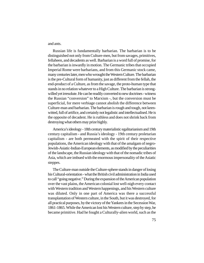and ants.

Russian life is fundamentally barbarian. The barbarian is to be distinguished not only from Culture-men, but from savages, primitives, fellaheen, and decadents as well. Barbarian is a word full of promise, for the barbarian is inwardly in motion. The Germanic tribes that occupied Imperial Rome were barbarians, and from this Germanic stock came, many centuries later, men who wrought the Western Culture. The barbarian is the pre-Cultural form of humanity, just as different from the fellah, the end-product of a Culture, as from the savage, the proto-human type that stands in no relation whatever to a High Culture. The barbarian is strongwilled yet irresolute. He can be readily converted to new doctrines - witness the Russian "conversion" to Marxism -, but the conversion must be superficial, for mere verbiage cannot abolish the difference between Culture-man and barbarian. The barbarian is rough and tough, not keenwitted, full of artifice, and certainly not legalistic and intellectualised. He is the opposite of decadent. He is ruthless and does not shrink back from destroying what others may prize highly.

America's ideology - 18th century materialistic egalitarianism and 19th century capitalism - and Russia's ideology - 19th century proletarian capitalism - are both permeated with the spirit of their respective populations, the American ideology with that of the amalgam of negro-Jewish-Asiatic-Indian-European elements, as modified by the peculiarities of the landscape, the Russian ideology with that of the nomadic tribes of Asia, which are imbued with the enormous impersonality of the Asiatic steppes.

The Culture-man outside the Culture-sphere stands in danger of losing his Cultural-orientation - what the British civil administration in India used to call "going negative." During the expansion of the American population over the vast plains, the American colonial lost well-nigh every contact with Western tradition and Western happenings, and his Western culture was diluted. Only in one part of America was there a successful transplantation of Western culture, in the South, but it was destroyed, for all practical purposes, by the victory of the Yankees in the Secession War, 1861-1865. While the American lost his Western culture, step by step, he became primitive. Had he fought a Culturally-alien world, such as the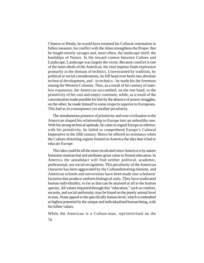Chinese or Hindu, he would have retained his Cultural-orientation in fullest measure, for conflict with the Alien strengthens the Proper. But he fought merely savages and, more often, the landscape itself, the hardships of Nature. In the inward contest between Culture and Landscape, Landscape was largely the victor. Because comfort is one of the main ideals of the American, his vital impetus finds expression primarily in the domain of technics. Unrestrained by tradition, by political or social considerations, he fell head over heels into absolute technical development, and - in technics - he made his the foremost among the Western Colonies. Thus, as a result of his century of stateless expansion, the American succumbed, on the one hand, to the primitivity of his vast and empty continent, while, as a result of the concentration made possible for him by the absence of power-struggles, on the other, he made himself in some respects superior to Europeans. This had as its consequence yet another peculiarity.

The simultaneous presence of primitivity and over-civilisation in the American shaped his relationship to Europe into an unhealthy one. With his strong technical aptitude, he came to regard Europe as inferior; with his primitivity, he failed to comprehend Europe's Cultural Imperative in the 20th century. Hence he offered no resistance when the Culture-distorting regime foisted on America the idea that it had to educate Europe.

This idea could be all the more inculcated since America is by nature feminine-matriarchal and attributes great value to formal education. In America the autodidact will find neither political, academic, professional, nor social recognition. This peculiarity of the American character has been aggravated by the Culturedistorting element, and American schools and universities have been made into scholastic factories that produce uniform biological units. They have eradicated human individuality, so far as that can be attained at all in the human species. All values imparted through this "education," such as comfort, security, and social uniformity, may be found on the purely animal level in man. None appeal to the specifically human level, which is embodied at highest potential by the unique and individualised human being, with his loftier values.

While the American is a Culture-man, *reprimitivised* on the 76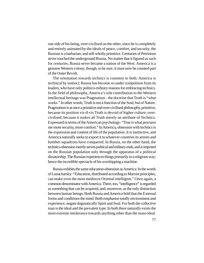one side of his being, over-civilised on the other, since he is completely and entirely animated by the ideals of peace, comfort, and security, the Russian is a barbarian, and still wholly primitive. Centuries of Petrinism never touched the underground Russia. No matter that it figured as such for centuries, Russia never became a nation of the West. America is a genuine Western colony, though, to be sure, it must now be counted part of the Outer Revolt.

The orientation towards technics is common to both: America is technical by instinct; Russia has become so under compulsion from its leaders, who have only politico-military reasons for embracing technics. In the field of philosophy, America's sole contribution to the Western intellectual heritage was Pragmatism - the doctrine that Truth is "what works." In other words, Truth is not a function of the Soul, but of Nature. Pragmatism is at once a primitive and over-civilised philosophy, primitive, because its position vis-d-vis Truth is devoid of higher culture; overcivilised, because it makes all Truth merely an attribute of Technics. Expressed in terms of the American psychology: "True is what procures me more security, more comfort." In America, obsession with technics is the expression and content of life of the population. It is instinctive, and America naturally seeks to export it to whatever countries its armies and bomber-squadrons have conquered. In Russia, on the other hand, the technics-obsession merely serves political and military ends, and is imposed on the Russian population only through the apparatus of a political dictatorship. The Russian experiences things primarily in a religious way; hence the incredible spectacle of his worshipping a machine.

Russia exhibits the same education-obsession as America: In the words of Lunacharsky: "Education, distributed according to Marxist principles, can make even the most mediocre Oriental intelligent." Once again, a common denominator with America. There, too, "intelligence" is regarded as something that can be acquired, and, moreover, as the only distinction between human beings. Both Russia and America hold that the External forms and conditions the mind. Both emphasise totally environment and experience, negate dogmatically Spirit and Soul. For both the collective man is the ideal and the prevalent type. In both there naturally exists the most extreme intolerance towards anything other than the mass-ideal.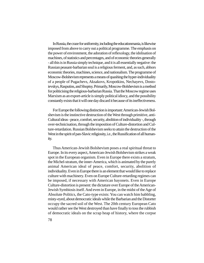In Russia, the craze for uniformity, including the educationmania, is likewise imposed from above to carry out a political programme. The emphasis on the power of environment, the adoration of reflexology, the idolisation of machines, of statistics and percentages, and of economic theories generally - all this is in Russia simply technique, and it is all essentially negative: the Russian peasant-barbarian soul is a religious ferment, and, as such, abhors economic theories, machines, science, and nationalism. The programme of Moscow-Bolshevism represents a means of quashing the hyper-individuality of a people of Pugachevs, Aksakovs, Kropotkins, Nechayevs, Dostoievskys, Rasputins, and Shoptsy. Primarily, Moscow-Bolshevism is a method for politicising the religious-barbarian Russia. That the Moscow regime uses Marxism as an export-article is simply political idiocy, and the possibility constantly exists that it will one day discard it because of its ineffectiveness.

For Europe the following distinction is important: American-Jewish Bolshevism is the instinctive destruction of the West through primitive, anti-Cultural ideas - peace, comfort, security, abolition of individuality -, through over-technicisation, through the imposition of Culture-distortion and Culture-retardation. Russian Bolshevism seeks to attain the destruction of the West in the spirit of pan-Slavic religiosity, i.e., the Russification of all humanity.

Thus American-Jewish Bolshevism poses a real spiritual threat to Europe. In its every aspect, American-Jewish Bolshevism strikes a weak spot in the European organism. Even in Europe there exists a stratum, the Michel-stratum, the inner-America, which is animated by the purely animal American ideal of peace, comfort, security, abolition of individuality. Even in Europe there is an element that would like to replace culture with machinery. Even on Europe Culture-retarding regimes can be imposed, if necessary with American bayonets. Even in Europe Culture-distortion is present: the dictature over Europe of the American-Jewish Symbiosis itself. And even in Europe, in the midst of the Age of Absolute Politics, the Cato-type exists: You can watch him babbling, misty-eyed, about democratic ideals while the Barbarian and the Distorter occupy the sacred soil of the West. The 20th century European Cato would rather see the West destroyed than have finally to toss the rubbish of democratic ideals on the scrap heap of history, where the corpse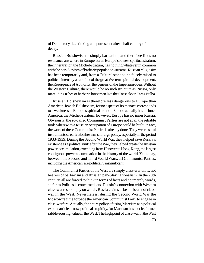of Democracy lies stinking and putrescent after a half century of decay.

Russian Bolshevism is simply barbarism, and therefore finds no resonance anywhere in Europe. Even Europe's lowest spiritual stratum, the inner traitor, the Michel-stratum, has nothing whatever in common with the pan-Slavism of barbaric population-streams. Russian religiosity has been temporarily and, from a Cultural standpoint, falsely raised to political intensity as a reflex of the great Western spiritual development, the Resurgence of Authority, the genesis of the Imperium-Idea. Without the Western Culture, there would be no such structure as Russia, only marauding tribes of barbaric horsemen like the Cossacks in Taras Bulba.

Russian Bolshevism is therefore less dangerous to Europe than American-Jewish Bolshevism, for no aspect of its menace corresponds to a weakness in Europe's spiritual armour. Europe actually has an inner America, the Michel-stratum; however, Europe has no inner Russia. Obviously, the so-called Communist Parties are not at all the reliable tools wherewith a Russian occupation of Europe could be built. In fact, the work of these Communist Parties is already done. They were useful instruments of early Bolshevism's foreign policy, especially in the period 1933-1939. During the Second World War, they helped save Russia's existence as a political unit; after the War, they helped create the Russian power-accumulation, extending from Hanover to Hong-Kong, the largest contiguous poweraccumulation in the history of the world. Yet, today, between the Second and Third World Wars, all Communist Parties, including the American, are politically insignificant.

The Communist Parties of the West are simply class-war units, not bearers of barbarism and Russian pan-Slav nationalism. In the 20th century, all are forced to think in terms of facts and not merely words, so far as Politics is concerned, and Russia's connexion with Western class-war rests simply on words. Russia claims to be the bearer of classwar in the West. Nevertheless, during the Second World War the Moscow regime forbade the American Communist Party to engage in class-warfare. Actually, the entire policy of using Marxism as a political export-article is now political stupidity, for Marxism has lost its former rabble-rousing value in the West. The highpoint of class-war in the West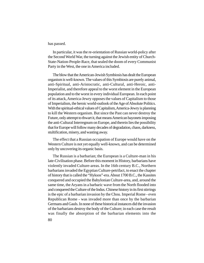#### has passed.

In particular, it was the re-orientation of Russian world-policy after the Second World War, the turning against the Jewish entity of Church-State-Nation-People-Race, that sealed the doom of every Communist Party in the West, the one in America included.

The blow that the American-Jewish Symbiosis has dealt the European organism is well-known. The values of this Symbiosis are purely animal, anti-Spiritual, anti-Aristocratic, anti-Cultural, anti-Heroic, anti-Imperialist, and therefore appeal to the worst element in the European population and to the worst in every individual European. In each point of its attack, America-Jewry opposes the values of Capitalism to those of Imperialism, the heroic world-outlook of the Age of Absolute Politics. With the spiritual-ethical values of Capitalism, America-Jewry is planning to kill the Western organism. But since the Past can never destroy the Future, only attempt to thwart it, that means American bayonets imposing the anti-Cultural Interregnum on Europe, and therein lies the possibility that for Europe will follow many decades of degradation, chaos, darkness, stultification, misery, and wasting away.

The effect that a Russian occupation of Europe would have on the Western Culture is not yet equally well-known, and can be determined only by uncovering its organic basis.

The Russian is a barbarian; the European is a Culture-man in his late-Civilisation phase. Before this moment in History, barbarians have violently invaded Culture-areas. In the 16th century B.C., Northern barbarians invaded the Egyptian Culture-petrifact, to enact the chapter of history that is called the "Hyksos"-era. About 1700 B.C., the Kassites conquered and occupied the Babylonian Culture-area, and, around the same time, the Aryans in a barbaric wave from the North flooded into and conquered the Culture of the Indus. Chinese history in its first stirrings is the epic of a barbarian invasion by the Chou. Imperial Rome - even Republican Rome - was invaded more than once by the barbarian Germans and Gauls. In none of these historical instances did the invasion of the barbarians destroy the body of the Culture; in each case the result was finally the absorption of the barbarian elements into the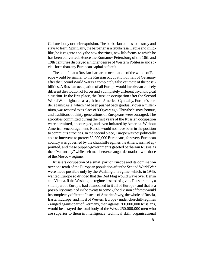Culture-body or their expulsion. The barbarian comes to destroy and stays to learn. Spiritually, the barbarian is a tabula rasa. Labile and childlike, he is eager to apply the new doctrines, new life-forms, to which he has been converted. Hence the Romanov Petersburg of the 18th and 19th centuries displayed a higher degree of Western Politesse and social-form than any European capital before it.

The belief that a Russian-barbarian occupation of the whole of Europe would be similar to the Russian occupation of half of Germany after the Second World War is a completely false estimate of the possibilities. A Russian occupation of all Europe would involve an entirely different distribution of forces and a completely different psychological situation. In the first place, the Russian occupation after the Second World War originated as a gift from America. Cynically, Europe's border against Asia, which had been pushed back gradually over a millennium, was restored to its place of 900 years ago. Thus the history, honour, and traditions of thirty generations of Europeans were outraged. The atrocities committed during the first years of the Russian occupation were permitted, encouraged, and even imitated by America. Without American encouragement, Russia would not have been in the position to commit its atrocities. In the second place, Europe was not politically able to intervene to protect 30,000,000 Europeans, for every European country was governed by the churchill-regimes the Americans had appointed, and these puppet-governments greeted barbarian Russia as their "valiant ally" while their members exchanged decorations with those of the Moscow regime.

Russia's occupation of a small part of Europe and its domination over one tenth of the European population after the Second World War were made possible only by the Washington regime, which, in 1945, wanted Europe so divided that the Red Flag would wave over Berlin and Vienna. If the Washington regime, instead of giving Russia simply a small part of Europe, had abandoned to it all of Europe - and that is a possibility contained in the events to come -, the division of forces would be completely different. Instead of AmericaJewry, the whole of Russia, Eastern Europe, and most of Western Europe - under churchill-regimes - ranged against part of Germany, then against 200,000,000 Russians, would be arrayed the total body of the West, 250,000,000 men who are superior to them in intelligence, technical skill, organisational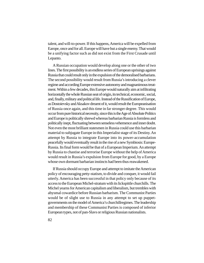talent, and will-to-power. If this happens, America will be expelled from Earope, once and for all. Europe will have but a single enemy. That would be a unifying factor such as did not exist from the First Crusade until Lepanto.

A Russian occupation would develop along one or the other of two lines. The first possibility is an endless series of European uprisings against Russia that could result only in the expulsion of the demoralised barbarians. The second possibility would result from Russia's introducing a clever regime and according Europe extensive autonomy and magnanimous treatment. Within a few decades, this Europe would naturally aim at infiltrating horizontally the whole Russian seat of origin, its technical, economic, social, and, finally, military and political life. Instead of the Russification of Europe, as Dostoievsky and Aksakov dreamt of it, would result the Europeanisation of Russia once again, and this time in far stronger degree. This would occur from pure historical necessity, since this is the Age of Absolute Politics and Europe is politically shrewd whereas barbarian Russia is formless and politically inept, fluctuating between senseless vehemence and inner doubt. Not even the most brilliant statesmen in Russia could use this barbarian material to subjugate Europe in this Imperialist stage of its Destiny. An attempt by Russia to integrate Europe into its power-accumulation peacefully would eventually result in the rise of a new Symbiosis: Europe-Russia. Its final form would be that of a European Imperium. An attempt by Russia to chastise and terrorise Europe without the help of America would result in Russia's expulsion from Europe for good, by a Europe whose own dormant barbarian instincts had been thus reawakened.

If Russia should occupy Europe and attempt to imitate the American policy of encouraging petty-statism, to divide and conquer, it would fail utterly. America has been successful in that policy only because of its access to the European Michel-stratum with its lickspittle churchills. The Michel yearns for American capitalism and liberalism, but trembles with abysmal cowardice before Russian barbarism. The Communist Parties would be of slight use to Russia in any attempt to set up puppetgovernments on the model of America's churchillregimes. The leadership and membership of these Communist Parties is composed of inferior European types, not of pan-Slavs or religious Russian nationalists.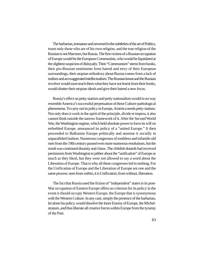The barbarian, immature and unversed in the subtleties of the art of Politics, trusts only those who are of his own religion, and the true religion of the Russian is not Marxism, but Russia. The first victims of a Russian occupation of Europe would be the European Communists, who would be liquidated at the slightest suspicion of disloyalty. Their "Communism" stems from books, their pro-Russian sentiments from hatred and envy of their European surroundings, their utopian orthodoxy about Russia comes from a lack of realism and an exaggerated intellectualism. The Russian knout and the Russian revolver would soon teach them what they have not learnt from their books, would shatter their utopian ideals and give their hatred a new focus.

Russia's effect on petty-statism and petty-nationalism would in no way resemble America's successful perpetuation of these Culture-pathological phenomena. To carry out its policy in Europe, America needs petty-statism. Not only does it work in the spirit of the principle, divide et impera, it also cannot think outside the narrow framework of it. After the Second World War, the Washington regime, which held absolute power to force its will on enfeebled Europe, announced its policy of a "united Europe." It then proceeded to Balkanise Europe politically and atomise it socially in unparalleled fashion. Numerous congresses of toothless and infantile old men from the 19th century passed even more numerous resolutions, but the result was continued disunity and chaos. The childish dotards had received permission from Washington to jabber about the "unification" of Europe as much as they liked, but they were not allowed to say a word about the Liberation of Europe. That is why all these congresses led to nothing. For the Unification of Europe and the Liberation of Europe are one and the same process: seen from within, it is Unification; from without, liberation.

The fact that Russia used the fiction of "independent" states in its post-War occupation of Eastern Europe offers no criterion for its policy in the event it should occupy Western Europe, the Europe that is synonymous with the Western Culture. In any case, simply the presence of the barbarian, let alone his policy, would dissolve the Inner Enemy of Europe, the Michelstratum, and thus liberate all creative forces within Europe from the tyranny of the Past.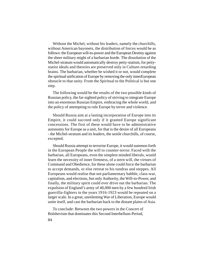Without the Michel, without his leaders, namely the churchills, without American bayonets, the distribution of forces would be as follows: the European will-to-power and the European Destiny against the sheer military might of a barbarian horde. The dissolution of the Michel-stratum would automatically destroy petty-statism, for pettystatist ideals and theories are preserved only in Culture-retarding brains. The barbarian, whether he wished it or not, would complete the spiritual unification of Europe by removing the only innerEuropean obstacle to that unity. From the Spiritual to the Political is but one step.

The following would be the results of the two possible kinds of Russian policy, the far-sighted policy of striving to integrate Europe into an enormous Russian Empire, embracing the whole world, and the policy of attempting to rule Europe by terror and violence.

Should Russia aim at a lasting incorporation of Europe into its Empire, it could succeed only if it granted Europe significant concessions. The first of these would have to be administrative autonomy for Europe as a unit, for that is the desire of all Europeans - the Michel-stratum and its leaders, the senile churchills, of course, excepted.

Should Russia attempt to terrorise Europe, it would summon forth in the European People the will to counter-terror. Faced with the barbarian, all Europeans, even the simplest minded liberals, would learn the necessity of inner firmness, of a stern will, the virtues of Command and Obedience, for these alone could force the barbarian to accept demands, or else retreat to his tundras and steppes. All Europeans would realise that not parliamentary babble, class-war, capitalism, and elections, but only Authority, the Will-to-Power, and finally, the military spirit could ever drive out the barbarian. The expulsion of England's army of 40,000 men by a few hundred Irish guerrilla-fighters in the years 1916-1923 would be repeated on a larger scale. In a great, unrelenting War of Liberation, Europe would unite itself, and cast the barbarian back to the distant plains of Asia.

To conclude: Between the two powers in the Concert of Bolshevism that dominates this Second Interbellum-Period,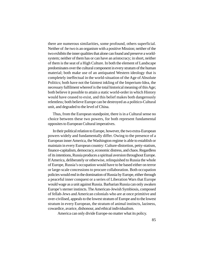there are numerous similarities, some profound, others superficial. Neither of :he two is an organism with a positive Mission; neither of the two exhibits the inner qualities that alone can found and preserve a worldsystem; neither of them has or can have an aristocracy; in short, neither of them is the seat of a High Culture. In both the element of Landscape predominates over the cultural component in every stratum of the human material; both make use of an antiquated Western ideology that is completely ineffectual in the world-situation of the Age of Absolute Politics; both have not the faintest inkling of the Imperium-Idea, the necessary fulfilment whereof is the total historical meaning of this Age; both believe it possible to attain a static world-order in which History would have ceased to exist, and this belief makes both dangerously relentless; both believe Europe can be destroyed as a politico-Cultural unit, and degraded to the level of China.

Thus, from the European standpoint, there is in a Cultural sense no choice between these two powers, for both represent fundamental opposites to European Cultural imperatives.

In their political relation to Europe, however, the two extra-European powers widely and fundamentally differ. Owing to the presence of a European inner America, the Washington regime is able to establish or maintain in every European country: Culture-distortion, petty-statism, finance-capitalism, democracy, economic distress, and chaos. Regardless of its intentions, Russia produces a spiritual aversion throughout Europe. If America, deliberately or otherwise, relinquished to Russia the whole of Europe, Russia's occupation would have to be based either on terror or large-scale concessions to procure collaboration. Both occupation policies would end in the domination of Russia by Europe, either through a peaceful inner conquest or a series of Liberation Wars that Europe would wage as a unit against Russia. Barbarian Russia can only awaken Europe's sterner instincts. The American-Jewish Symbiosis, composed of fellah-Jews and American colonials who are at once primitive and over-civilised, appeals to the lowest stratum of Europe and to the lowest stratum in every European, the stratum of animal instincts, laziness, cowardice, avarice, dishonour, and ethical individualism.

America can only divide Europe-no matter what its policy.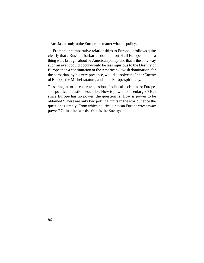Russia can only unite Europe-no matter what its policy.

From their comparative relationships to Europe, it follows quite clearly that a Russian-barbarian domination of all Europe, if such a thing were brought about by American policy-and that is the only way such an event could occur-would be less injurious to the Destiny of Europe than a continuation of the American-Jewish domination, for the barbarian, by his very presence, would dissolve the Inner Enemy of Europe, the Michel-stratum, and unite Europe spiritually.

This brings us to the concrete question of political decisions for Europe. The political question would be: How is power to be enlarged? But since Europe has no power, the question is: How is power to be obtained? There are only two political units in the world; hence the question is simply: From which political unit can Europe wrest away power? Or in other words: Who is the Enemy?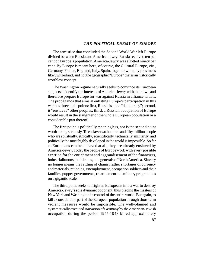## *THE POLITICAL ENEMY OF EUROPE*

The armistice that concluded the Second World War left Europe divided between Russia and America-Jewry. Russia received ten per cent of Europe's population, America-Jewry was allotted ninety per cent. By Europe is meant here, of course, the Cultural Europe, viz., Germany, France, England, Italy, Spain, together with tiny provinces like Switzerland, and not the geographic "Europe" that is an historically worthless concept.

The Washington regime naturally seeks to convince its European subjects to identify the interests of America-Jewry with their own and therefore prepare Europe for war against Russia in alliance with it. The propaganda that aims at enlisting Europe's participation in this war has three main points: first, Russia is not a "democracy"; second, it "enslaves" other peoples; third, a Russian occupation of Europe would result in the slaughter of the whole European population or a considerable part thereof.

The first point is politically meaningless, nor is the second point worth taking seriously. To enslave two hundred and fifty million people who are spiritually, ethically, scientifically, technically, militarily, and politically the most highly developed in the world is impossible. So far as Europeans can be enslaved at all, they are already enslaved by America-Jewry. Today the people of Europe work with every possible exertion for the enrichment and aggrandisement of the financiers, industrialbarons, politicians, and generals of North America. Slavery no longer means the rattling of chains, rather shortages of currency and materials, rationing, unemployment, occupation soldiers and their families, puppet-governments, re-armament and military programmes on a gigantic scale.

The third point seeks to frighten Europeans into a war to destroy America-Jewry's sole dynamic opponent, thus placing the masters of New York and Washington in control of the entire world. But again, to kill a considerable part of the European population through short-term violent measures would be impossible. The well-planned and systematically executed starvation of Germany by the American-Jewish occupation during the period 1945-1948 killed approximately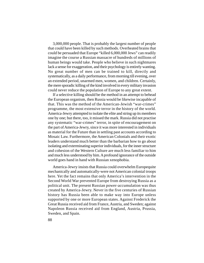3,000,000 people. That is probably the largest number of people that could have been killed by such methods. Overheated brains that could be persuaded that Europe "killed 6,000,000 Jews" can readily imagine the course a Russian massacre of hundreds of millions of human beings would take. People who believe in such nightmares lack a sense for exaggeration, and their psychology is entirely wanting. No great number of men can be trained to kill, directly and systematically, as a daily performance, from morning till evening, over an extended period, unarmed men, women, and children. Certainly, the mere sporadic killing of the kind involved in every military invasion could never reduce the population of Europe to any great extent.

If a selective killing should be the method in an attempt to behead the European organism, then Russia would be likewise incapable of that. This was the method of the American-Jewish "war-crimes" programme, the most extensive terror in the history of the world. America-Jewry attempted to isolate the elite and string up its members one by one; but there, too, it missed the mark. Russia did not practise any systematic "war-crimes" terror, in spite of encouragement on the part of America-Jewry, since it was more interested in individuals as material for the Future than in settling past accounts according to Mosaic Law. Furthermore, the American Colonials and their exotic leaders understand much better than the barbarian how to go about isolating and exterminating superior individuals, for the inner structure and cohesion of the Western Culture are much less familiar to him and much less understood by him. A profound ignorance of the outside world goes hand in hand with Russian xenophobia.

America-Jewry insists that Russia could overwhelm Europequite mechanically and automatically-were not American colonial troops here. Yet the fact remains that only America's intervention in the Second World War prevented Europe from destroying Russia as a political unit. The present Russian power-accumulation was thus created by America-Jewry. Never in the five centuries of Russian history has Russia been able to make way into Europe unless supported by one or more European states. Against Frederick the Great Russia received aid from France, Austria, and Sweden; against Napoleon Russia received aid from England, Austria, Prussia, Sweden, and Spain.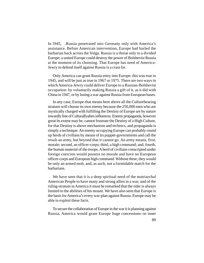In 1945, .Russia penetrated into Germany only with America's assistance. Before American intervention, Europe had hurled the barbarian back across the Volga. Russia is a threat only to a divided Europe; a united Europe could destroy the power of Bolshevist Russia at the moment of its choosing. That Europe has need of America-Jewry to defend itself against Russia is a crass lie.

Only America can grant Russia entry into Europe; this was true in 1945, and will be just as true in 1967 or 1975. There are two ways in which America-Jewry could deliver Europe to a Russian-Bolshevist occupation: by voluntarily making Russia a gift of it, as it did with China in 1947, or by losing a war against Russia from European bases.

In any case, Europe-that means here above all the Culturebearing stratum-will choose its own enemy because the 250,000 men who are mystically charged with fulfilling the Destiny of Europe are by nature inwardly free of Culturallyalien influences. Enemy propaganda, however great its extent may be, cannot frustrate the Destiny of a High Culture, for that Destiny is above mechanism and technics, and propaganda is simply a technique. An enemy occupying Europe can probably round up herds of civilians by means of its puppet-governments and call the result an army, but beyond that it cannot go. An army means, first, morale; second, an officer-corps; third, a high command; and, fourth, the human material of the troops. A herd of civilians conscripted under foreign coercion would possess no morale and have no European officer-corps and European high command. Without these, they would be only an armed mob, and, as such, not a formidable match for the barbarians.

We have seen that it is a deep spiritual need of the matriarchal American People to have many and strong allies in a war; and of the ruling-stratum in America it must be remarked that the rider is always limited to the abilities of his mount. We have also seen that Europe is the basis for America's every war-plan against Russia. Europe may be able to exploit these facts.

To secure the collaboration of Europe in the war it is planning against Russia, America would grant Europe huge concessions--in inner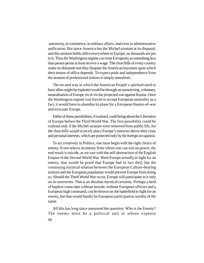autonomy, in commerce, in military affairs, and even in administrative unification. But since America has the Michel-stratum at its disposal, and this stratum holds office everywhere in Europe, no demands are put to it. Thus the Washington regime can treat Europeans as something less than peons-peons at least receive a wage. The churchills of every country make no demands lest they disquiet the American bayonets upon which their tenure of office depends. To expect pride and independence from the stratum of professional traitors is simply unrealistic.

The second way in which the American People's spiritual need to have allies might be exploitet would be through an unswerving, voluntary, neutralisation of Europe vis-d-vis the projected war against Russia. Once the Washington regime was forced to accept European neutrality as a fact, it would have to abandon its plans for a European theatre-of-war and evacuate Europe.

Either of these possibilities, if realised, could bring about the Liberation of Europe before the Third World War. The first possibility could be realised only if the Michel-stratum were removed from public life, for the churchills would scarcely place Europe's interests above their class and personal interests, which are protected only by the foreign occupation.

To act creatively in Politics, one must begin with the right choice of enemy. If one selects an enemy from whom one can win no power, the end-result is suicide, as we saw with the self-destruction of the English Empire in the Second World War. Were Europe actually to fight for an enemy, that would be proof that Europe had in fact died, but the continuing mystical relation between the European Culture-bearing stratum and the European population would prevent Europe from doing so. Should the Third World War occur, Europe will participate in it only on its own terms. That is an absolute mystical certainty. Perhaps a herd of hapless conscripts without morale, without European officers and a European high command, can be thrown on the battlefield to fight for an enemy, but that would hardly be European participation worthy of the name.

All this has long since answered the question: Who is the Enemy? The enemy must be a political unit at whose expense 90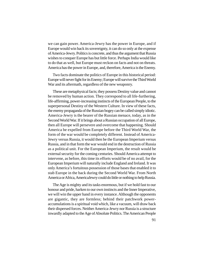we can gain power. America-Jewry has the power in Europe, and if Europe would win back its sovereignty, it can do so only at the expense of America-Jewry. Politics is concrete, and thus the argument that Russia wishes to conquer Europe has but little force. Perhaps India would like to do that as well, but Europe must reckon on facts and not on threats. America has the power in Europe, and, therefore, America is the Enemy.

Two facts dominate the politics of Europe in this historical period: Europe will never fight for its Enemy; Europe will survive the Third World War and its aftermath, regardless of the new weaponry.

These are metaphysical facts; they possess Destiny value and cannot be removed by human action. They correspond to all life-furthering, life-affirming, power-increasing instincts of the European People, to the superpersonal Destiny of the Western Culture. In view of these facts, the enemy propaganda of the Russian bogey can be called simply idiotic. America-Jewry is the bearer of the Russian menace, today, as in the Second World War. If it brings about a Russian occupation of all Europe, then all Europe will persevere and overcome that happening. Should America be expelled from Europe before the Third World War, the form of the war would be completely different. Instead of America-Jewry versus Russia, it would then be the European Imperium versus Russia, and in that form the war would end in the destruction of Russia as a political unit. For the European Imperium, the result would be external security for the coming centuries. Should America attempt to intervene, as before, this time its efforts would be of no avail, for the European Imperium will naturally include England and Ireland. It was only America's fortuitous possession of those bases that enabled it to stab Europe in the back during the Second World War. From North America or Africa, AmericaJewry could do little or nothing to help Russia.

The Age is mighty and its tasks enormous, but if we hold fast to our honour and pride, harken to our own instincts and the Inner Imperative, we will win the upper hand in every instance. Although the opponents are gigantic, they are formless; behind their patchwork poweraccumulations is a spiritual void which, like a vacuum, will draw back their dispersed forces. Neither America-Jewry nor Russia is a structure inwardly adapted to the Age of Absolute Politics. The American People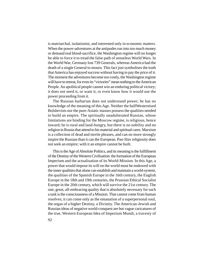is matriarchal, isolationist, and interested only in economic matters. When the power-adventures at the antipodes run into too much money or demand real blood-sacrifice, the Washington regime will no longer be able to force it to tread the false path of senseless World Wars. In the World War, Germany lost 739 Generals, whereas America had the death of a single General to mourn. This fact just symbolises the truth that America has enjoyed success without having to pay the price of it. The moment the adventures become too costly, the Washington regime will have to retreat, for even its "victories" mean nothing to the American People. An apolitical people cannot win an enduring political victory; it does not need it, or want it, or even know how it would use the power proceeding from it.

The Russian barbarian does not understand power; he has no knowledge of the meaning of this Age. Neither the halfWesternised Bolshevists nor the pure-Asiatic masses possess the qualities needed to build an empire. The spiritually unadulterated Russian, whose limitations are binding for the Moscow regime, is religious, hence inward; he is rural and land-hungry, but there is no nobility and no religion in Russia that attend to his material and spiritual cares. Marxism is a collection of dead and sterile phrases, and can no more strongly inspire the Russian than it can the European. Pan-Slav religiosity does not seek an empire; with it an empire cannot be built.

This is the Age of Absolute Politics, and its meaning is the fulfillment of the Destiny of the Western Civilisation: the formation of the European Imperium and the actualisation of its World-Mission. In this Age, a power that would impose its will on the world must be endowed with the inner qualities that alone can establish and maintain a world-system, the qualities of the Spanish Europe in the 16th century, the English Europe in the 18th and 19th centuries, the Prussian Ethical Socialist Europe in the 20th century, which will survive the 21st century. The one, great, all-embracing quality that is absolutely necessary for such a task is the consciousness of a Mission. That cannot come from human resolves; it can come only as the emanation of a superpersonal soul, the organ of a higher Destiny, a Divinity. The American-Jewish and Russian ideas of negative world-conquest are but vague caricatures of the true, Western European Idea of Imperium Mundi, a travesty of